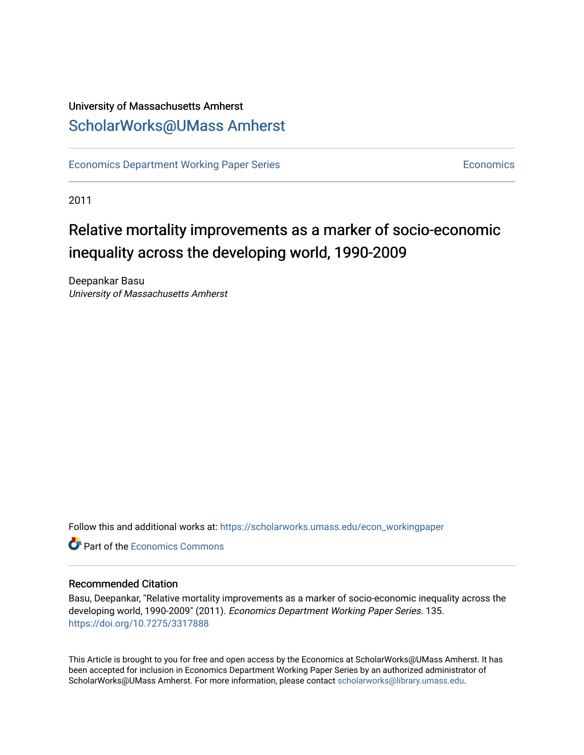### University of Massachusetts Amherst [ScholarWorks@UMass Amherst](https://scholarworks.umass.edu/)

[Economics Department Working Paper Series](https://scholarworks.umass.edu/econ_workingpaper) **Economics** [Economics](https://scholarworks.umass.edu/economics) Economics

2011

## Relative mortality improvements as a marker of socio-economic inequality across the developing world, 1990-2009

Deepankar Basu University of Massachusetts Amherst

Follow this and additional works at: [https://scholarworks.umass.edu/econ\\_workingpaper](https://scholarworks.umass.edu/econ_workingpaper?utm_source=scholarworks.umass.edu%2Fecon_workingpaper%2F135&utm_medium=PDF&utm_campaign=PDFCoverPages) 

**C**<sup> $\bullet$ </sup> Part of the [Economics Commons](http://network.bepress.com/hgg/discipline/340?utm_source=scholarworks.umass.edu%2Fecon_workingpaper%2F135&utm_medium=PDF&utm_campaign=PDFCoverPages)

#### Recommended Citation

Basu, Deepankar, "Relative mortality improvements as a marker of socio-economic inequality across the developing world, 1990-2009" (2011). Economics Department Working Paper Series. 135. <https://doi.org/10.7275/3317888>

This Article is brought to you for free and open access by the Economics at ScholarWorks@UMass Amherst. It has been accepted for inclusion in Economics Department Working Paper Series by an authorized administrator of ScholarWorks@UMass Amherst. For more information, please contact [scholarworks@library.umass.edu.](mailto:scholarworks@library.umass.edu)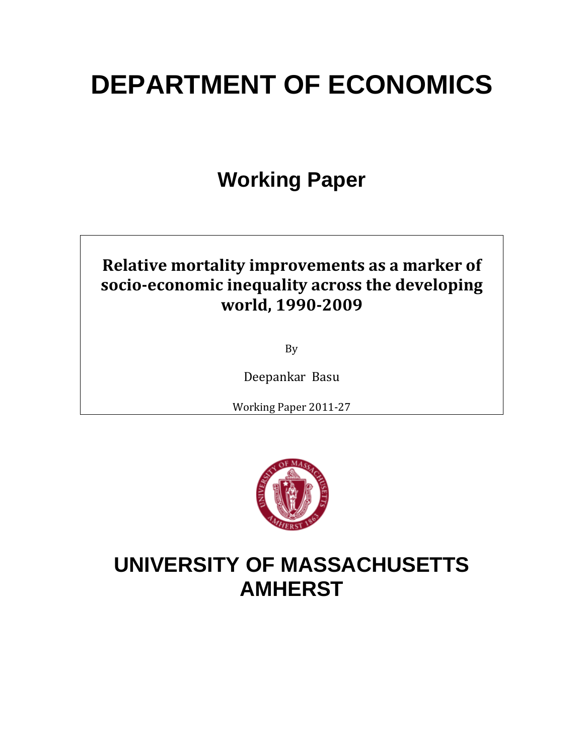# **DEPARTMENT OF ECONOMICS**

## **Working Paper**

## **Relative mortality improvements as a marker of socioeconomic inequality across the developing world, 19902009**

By

Deepankar Basu

Working Paper 2011‐27



## **UNIVERSITY OF MASSACHUSETTS AMHERST**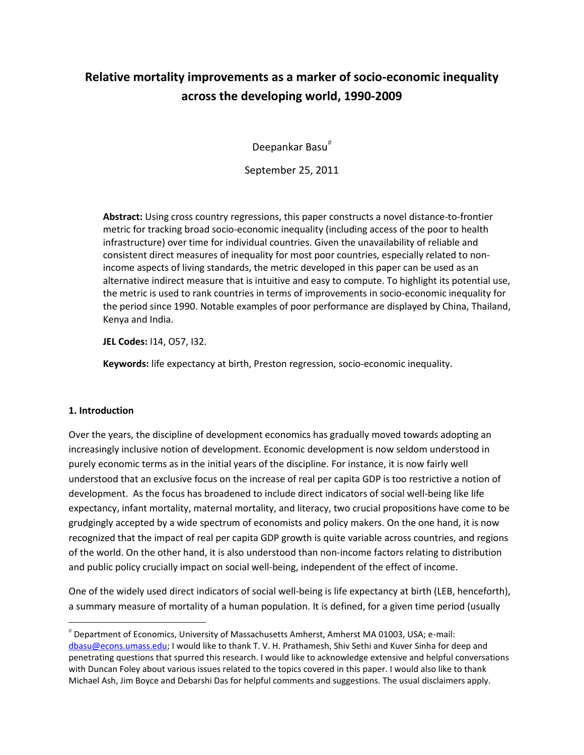### **Relative mortality improvements as a marker of socio-economic inequality across the developing world, 1990-2009**

Deepankar Basu

September 25, 2011

**Abstract:** Using cross country regressions, this paper constructs a novel distance-to-frontier metric for tracking broad socio-economic inequality (including access of the poor to health infrastructure) over time for individual countries. Given the unavailability of reliable and consistent direct measures of inequality for most poor countries, especially related to nonincome aspects of living standards, the metric developed in this paper can be used as an alternative indirect measure that is intuitive and easy to compute. To highlight its potential use, the metric is used to rank countries in terms of improvements in socio-economic inequality for the period since 1990. Notable examples of poor performance are displayed by China, Thailand, Kenya and India.

**JEL Codes:** I14, O57, I32.

**Keywords:** life expectancy at birth, Preston regression, socio-economic inequality.

#### **1. Introduction**

 $\overline{a}$ 

Over the years, the discipline of development economics has gradually moved towards adopting an increasingly inclusive notion of development. Economic development is now seldom understood in purely economic terms as in the initial years of the discipline. For instance, it is now fairly well understood that an exclusive focus on the increase of real per capita GDP is too restrictive a notion of development. As the focus has broadened to include direct indicators of social well-being like life expectancy, infant mortality, maternal mortality, and literacy, two crucial propositions have come to be grudgingly accepted by a wide spectrum of economists and policy makers. On the one hand, it is now recognized that the impact of real per capita GDP growth is quite variable across countries, and regions of the world. On the other hand, it is also understood than non-income factors relating to distribution and public policy crucially impact on social well-being, independent of the effect of income.

One of the widely used direct indicators of social well-being is life expectancy at birth (LEB, henceforth), a summary measure of mortality of a human population. It is defined, for a given time period (usually

Department of Economics, University of Massachusetts Amherst, Amherst MA 01003, USA; e-mail: [dbasu@econs.umass.edu;](mailto:dbasu@econs.umass.edu) I would like to thank T. V. H. Prathamesh, Shiv Sethi and Kuver Sinha for deep and penetrating questions that spurred this research. I would like to acknowledge extensive and helpful conversations with Duncan Foley about various issues related to the topics covered in this paper. I would also like to thank Michael Ash, Jim Boyce and Debarshi Das for helpful comments and suggestions. The usual disclaimers apply.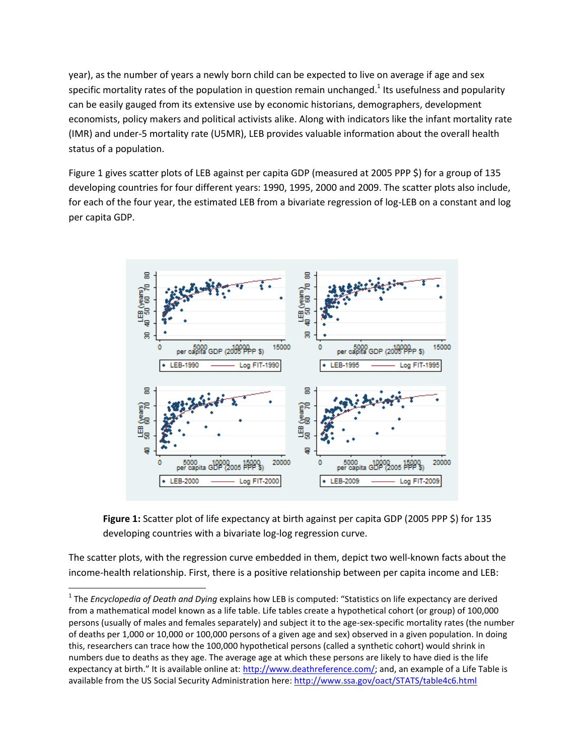year), as the number of years a newly born child can be expected to live on average if age and sex specific mortality rates of the population in question remain unchanged.<sup>1</sup> Its usefulness and popularity can be easily gauged from its extensive use by economic historians, demographers, development economists, policy makers and political activists alike. Along with indicators like the infant mortality rate (IMR) and under-5 mortality rate (U5MR), LEB provides valuable information about the overall health status of a population.

Figure 1 gives scatter plots of LEB against per capita GDP (measured at 2005 PPP \$) for a group of 135 developing countries for four different years: 1990, 1995, 2000 and 2009. The scatter plots also include, for each of the four year, the estimated LEB from a bivariate regression of log-LEB on a constant and log per capita GDP.





The scatter plots, with the regression curve embedded in them, depict two well-known facts about the income-health relationship. First, there is a positive relationship between per capita income and LEB:

 $\overline{\phantom{a}}$ 

<sup>&</sup>lt;sup>1</sup> The *Encyclopedia of Death and Dying* explains how LEB is computed: "Statistics on life expectancy are derived from a mathematical model known as a life table. Life tables create a hypothetical cohort (or group) of 100,000 persons (usually of males and females separately) and subject it to the age-sex-specific mortality rates (the number of deaths per 1,000 or 10,000 or 100,000 persons of a given age and sex) observed in a given population. In doing this, researchers can trace how the 100,000 hypothetical persons (called a synthetic cohort) would shrink in numbers due to deaths as they age. The average age at which these persons are likely to have died is the life expectancy at birth." It is available online at: [http://www.deathreference.com/;](http://www.deathreference.com/) and, an example of a Life Table is available from the US Social Security Administration here: <http://www.ssa.gov/oact/STATS/table4c6.html>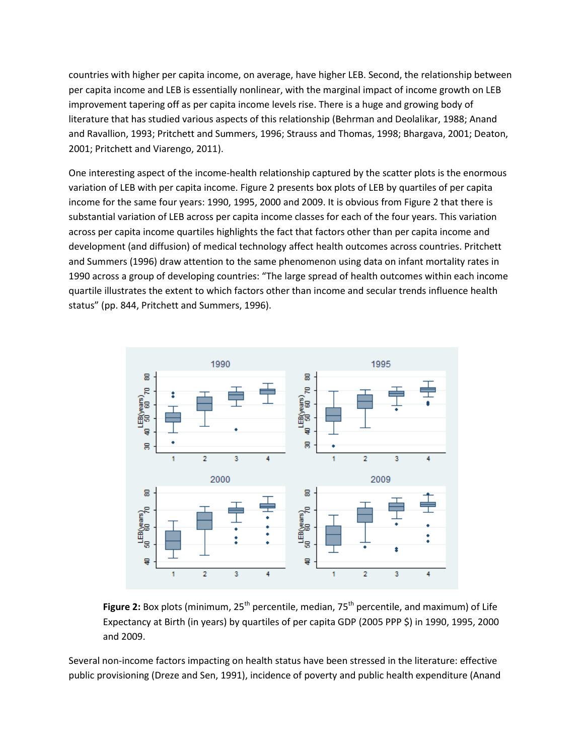countries with higher per capita income, on average, have higher LEB. Second, the relationship between per capita income and LEB is essentially nonlinear, with the marginal impact of income growth on LEB improvement tapering off as per capita income levels rise. There is a huge and growing body of literature that has studied various aspects of this relationship (Behrman and Deolalikar, 1988; Anand and Ravallion, 1993; Pritchett and Summers, 1996; Strauss and Thomas, 1998; Bhargava, 2001; Deaton, 2001; Pritchett and Viarengo, 2011).

One interesting aspect of the income-health relationship captured by the scatter plots is the enormous variation of LEB with per capita income. Figure 2 presents box plots of LEB by quartiles of per capita income for the same four years: 1990, 1995, 2000 and 2009. It is obvious from Figure 2 that there is substantial variation of LEB across per capita income classes for each of the four years. This variation across per capita income quartiles highlights the fact that factors other than per capita income and development (and diffusion) of medical technology affect health outcomes across countries. Pritchett and Summers (1996) draw attention to the same phenomenon using data on infant mortality rates in 1990 across a group of developing countries: "The large spread of health outcomes within each income quartile illustrates the extent to which factors other than income and secular trends influence health status" (pp. 844, Pritchett and Summers, 1996).



**Figure 2:** Box plots (minimum, 25<sup>th</sup> percentile, median, 75<sup>th</sup> percentile, and maximum) of Life Expectancy at Birth (in years) by quartiles of per capita GDP (2005 PPP \$) in 1990, 1995, 2000 and 2009.

Several non-income factors impacting on health status have been stressed in the literature: effective public provisioning (Dreze and Sen, 1991), incidence of poverty and public health expenditure (Anand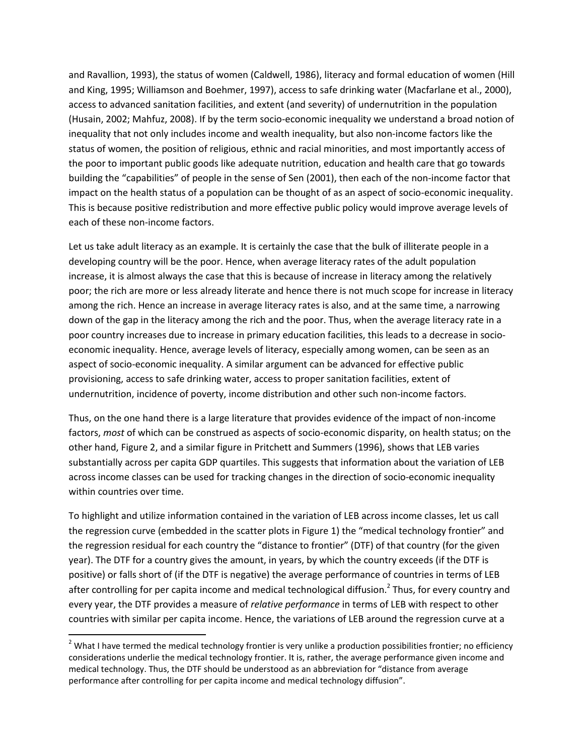and Ravallion, 1993), the status of women (Caldwell, 1986), literacy and formal education of women (Hill and King, 1995; Williamson and Boehmer, 1997), access to safe drinking water (Macfarlane et al., 2000), access to advanced sanitation facilities, and extent (and severity) of undernutrition in the population (Husain, 2002; Mahfuz, 2008). If by the term socio-economic inequality we understand a broad notion of inequality that not only includes income and wealth inequality, but also non-income factors like the status of women, the position of religious, ethnic and racial minorities, and most importantly access of the poor to important public goods like adequate nutrition, education and health care that go towards building the "capabilities" of people in the sense of Sen (2001), then each of the non-income factor that impact on the health status of a population can be thought of as an aspect of socio-economic inequality. This is because positive redistribution and more effective public policy would improve average levels of each of these non-income factors.

Let us take adult literacy as an example. It is certainly the case that the bulk of illiterate people in a developing country will be the poor. Hence, when average literacy rates of the adult population increase, it is almost always the case that this is because of increase in literacy among the relatively poor; the rich are more or less already literate and hence there is not much scope for increase in literacy among the rich. Hence an increase in average literacy rates is also, and at the same time, a narrowing down of the gap in the literacy among the rich and the poor. Thus, when the average literacy rate in a poor country increases due to increase in primary education facilities, this leads to a decrease in socioeconomic inequality. Hence, average levels of literacy, especially among women, can be seen as an aspect of socio-economic inequality. A similar argument can be advanced for effective public provisioning, access to safe drinking water, access to proper sanitation facilities, extent of undernutrition, incidence of poverty, income distribution and other such non-income factors.

Thus, on the one hand there is a large literature that provides evidence of the impact of non-income factors, *most* of which can be construed as aspects of socio-economic disparity, on health status; on the other hand, Figure 2, and a similar figure in Pritchett and Summers (1996), shows that LEB varies substantially across per capita GDP quartiles. This suggests that information about the variation of LEB across income classes can be used for tracking changes in the direction of socio-economic inequality within countries over time.

To highlight and utilize information contained in the variation of LEB across income classes, let us call the regression curve (embedded in the scatter plots in Figure 1) the "medical technology frontier" and the regression residual for each country the "distance to frontier" (DTF) of that country (for the given year). The DTF for a country gives the amount, in years, by which the country exceeds (if the DTF is positive) or falls short of (if the DTF is negative) the average performance of countries in terms of LEB after controlling for per capita income and medical technological diffusion.<sup>2</sup> Thus, for every country and every year, the DTF provides a measure of *relative performance* in terms of LEB with respect to other countries with similar per capita income. Hence, the variations of LEB around the regression curve at a

 $\overline{a}$ 

 $2$  What I have termed the medical technology frontier is very unlike a production possibilities frontier; no efficiency considerations underlie the medical technology frontier. It is, rather, the average performance given income and medical technology. Thus, the DTF should be understood as an abbreviation for "distance from average performance after controlling for per capita income and medical technology diffusion".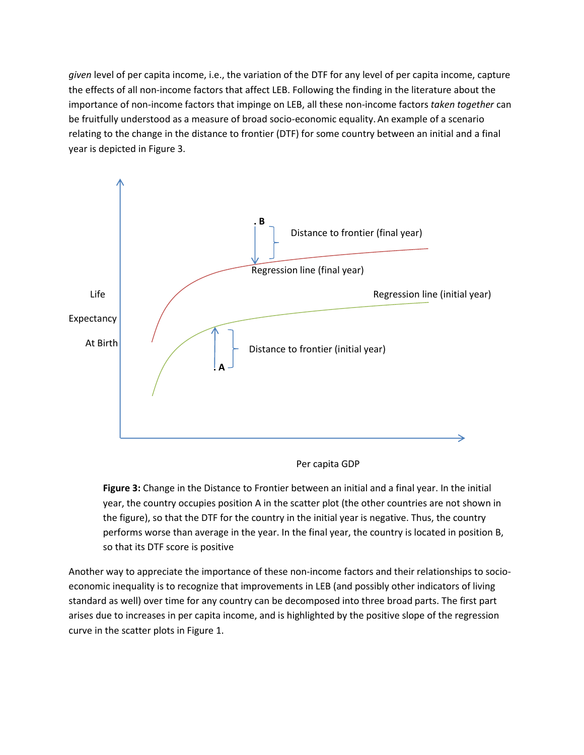*given* level of per capita income, i.e., the variation of the DTF for any level of per capita income, capture the effects of all non-income factors that affect LEB. Following the finding in the literature about the importance of non-income factors that impinge on LEB, all these non-income factors *taken together* can be fruitfully understood as a measure of broad socio-economic equality. An example of a scenario relating to the change in the distance to frontier (DTF) for some country between an initial and a final year is depicted in Figure 3.



Per capita GDP

**Figure 3:** Change in the Distance to Frontier between an initial and a final year. In the initial year, the country occupies position A in the scatter plot (the other countries are not shown in the figure), so that the DTF for the country in the initial year is negative. Thus, the country performs worse than average in the year. In the final year, the country is located in position B, so that its DTF score is positive

Another way to appreciate the importance of these non-income factors and their relationships to socioeconomic inequality is to recognize that improvements in LEB (and possibly other indicators of living standard as well) over time for any country can be decomposed into three broad parts. The first part arises due to increases in per capita income, and is highlighted by the positive slope of the regression curve in the scatter plots in Figure 1.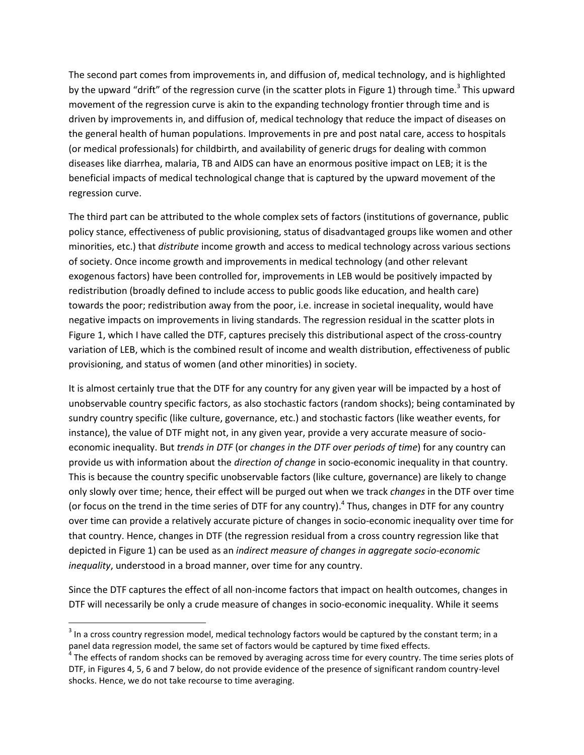The second part comes from improvements in, and diffusion of, medical technology, and is highlighted by the upward "drift" of the regression curve (in the scatter plots in Figure 1) through time.<sup>3</sup> This upward movement of the regression curve is akin to the expanding technology frontier through time and is driven by improvements in, and diffusion of, medical technology that reduce the impact of diseases on the general health of human populations. Improvements in pre and post natal care, access to hospitals (or medical professionals) for childbirth, and availability of generic drugs for dealing with common diseases like diarrhea, malaria, TB and AIDS can have an enormous positive impact on LEB; it is the beneficial impacts of medical technological change that is captured by the upward movement of the regression curve.

The third part can be attributed to the whole complex sets of factors (institutions of governance, public policy stance, effectiveness of public provisioning, status of disadvantaged groups like women and other minorities, etc.) that *distribute* income growth and access to medical technology across various sections of society. Once income growth and improvements in medical technology (and other relevant exogenous factors) have been controlled for, improvements in LEB would be positively impacted by redistribution (broadly defined to include access to public goods like education, and health care) towards the poor; redistribution away from the poor, i.e. increase in societal inequality, would have negative impacts on improvements in living standards. The regression residual in the scatter plots in Figure 1, which I have called the DTF, captures precisely this distributional aspect of the cross-country variation of LEB, which is the combined result of income and wealth distribution, effectiveness of public provisioning, and status of women (and other minorities) in society.

It is almost certainly true that the DTF for any country for any given year will be impacted by a host of unobservable country specific factors, as also stochastic factors (random shocks); being contaminated by sundry country specific (like culture, governance, etc.) and stochastic factors (like weather events, for instance), the value of DTF might not, in any given year, provide a very accurate measure of socioeconomic inequality. But *trends in DTF* (or *changes in the DTF over periods of time*) for any country can provide us with information about the *direction of change* in socio-economic inequality in that country. This is because the country specific unobservable factors (like culture, governance) are likely to change only slowly over time; hence, their effect will be purged out when we track *changes* in the DTF over time (or focus on the trend in the time series of DTF for any country). 4 Thus, changes in DTF for any country over time can provide a relatively accurate picture of changes in socio-economic inequality over time for that country. Hence, changes in DTF (the regression residual from a cross country regression like that depicted in Figure 1) can be used as an *indirect measure of changes in aggregate socio-economic inequality*, understood in a broad manner, over time for any country.

Since the DTF captures the effect of all non-income factors that impact on health outcomes, changes in DTF will necessarily be only a crude measure of changes in socio-economic inequality. While it seems

l

 $^3$  In a cross country regression model, medical technology factors would be captured by the constant term; in a panel data regression model, the same set of factors would be captured by time fixed effects.

<sup>&</sup>lt;sup>4</sup> The effects of random shocks can be removed by averaging across time for every country. The time series plots of DTF, in Figures 4, 5, 6 and 7 below, do not provide evidence of the presence of significant random country-level shocks. Hence, we do not take recourse to time averaging.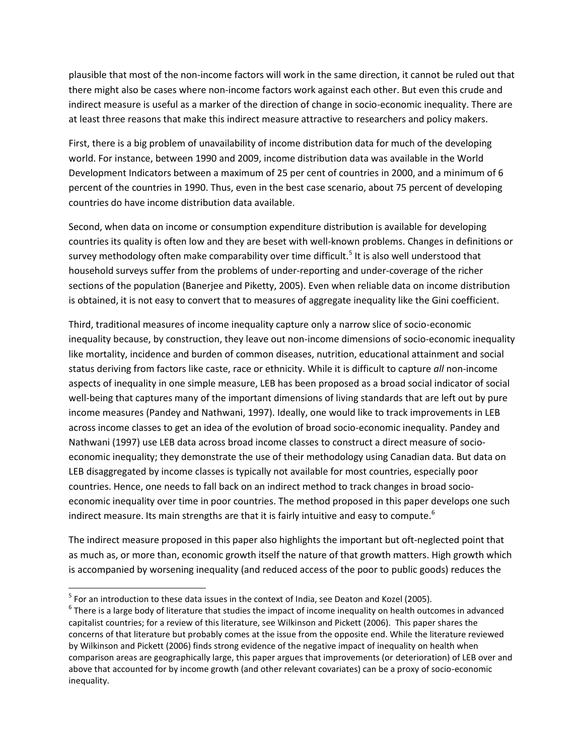plausible that most of the non-income factors will work in the same direction, it cannot be ruled out that there might also be cases where non-income factors work against each other. But even this crude and indirect measure is useful as a marker of the direction of change in socio-economic inequality. There are at least three reasons that make this indirect measure attractive to researchers and policy makers.

First, there is a big problem of unavailability of income distribution data for much of the developing world. For instance, between 1990 and 2009, income distribution data was available in the World Development Indicators between a maximum of 25 per cent of countries in 2000, and a minimum of 6 percent of the countries in 1990. Thus, even in the best case scenario, about 75 percent of developing countries do have income distribution data available.

Second, when data on income or consumption expenditure distribution is available for developing countries its quality is often low and they are beset with well-known problems. Changes in definitions or survey methodology often make comparability over time difficult.<sup>5</sup> It is also well understood that household surveys suffer from the problems of under-reporting and under-coverage of the richer sections of the population (Banerjee and Piketty, 2005). Even when reliable data on income distribution is obtained, it is not easy to convert that to measures of aggregate inequality like the Gini coefficient.

Third, traditional measures of income inequality capture only a narrow slice of socio-economic inequality because, by construction, they leave out non-income dimensions of socio-economic inequality like mortality, incidence and burden of common diseases, nutrition, educational attainment and social status deriving from factors like caste, race or ethnicity. While it is difficult to capture *all* non-income aspects of inequality in one simple measure, LEB has been proposed as a broad social indicator of social well-being that captures many of the important dimensions of living standards that are left out by pure income measures (Pandey and Nathwani, 1997). Ideally, one would like to track improvements in LEB across income classes to get an idea of the evolution of broad socio-economic inequality. Pandey and Nathwani (1997) use LEB data across broad income classes to construct a direct measure of socioeconomic inequality; they demonstrate the use of their methodology using Canadian data. But data on LEB disaggregated by income classes is typically not available for most countries, especially poor countries. Hence, one needs to fall back on an indirect method to track changes in broad socioeconomic inequality over time in poor countries. The method proposed in this paper develops one such indirect measure. Its main strengths are that it is fairly intuitive and easy to compute.<sup>6</sup>

The indirect measure proposed in this paper also highlights the important but oft-neglected point that as much as, or more than, economic growth itself the nature of that growth matters. High growth which is accompanied by worsening inequality (and reduced access of the poor to public goods) reduces the

 $\overline{\phantom{a}}$ 

 $<sup>5</sup>$  For an introduction to these data issues in the context of India, see Deaton and Kozel (2005).</sup>

 $^6$  There is a large body of literature that studies the impact of income inequality on health outcomes in advanced capitalist countries; for a review of this literature, see Wilkinson and Pickett (2006). This paper shares the concerns of that literature but probably comes at the issue from the opposite end. While the literature reviewed by Wilkinson and Pickett (2006) finds strong evidence of the negative impact of inequality on health when comparison areas are geographically large, this paper argues that improvements (or deterioration) of LEB over and above that accounted for by income growth (and other relevant covariates) can be a proxy of socio-economic inequality.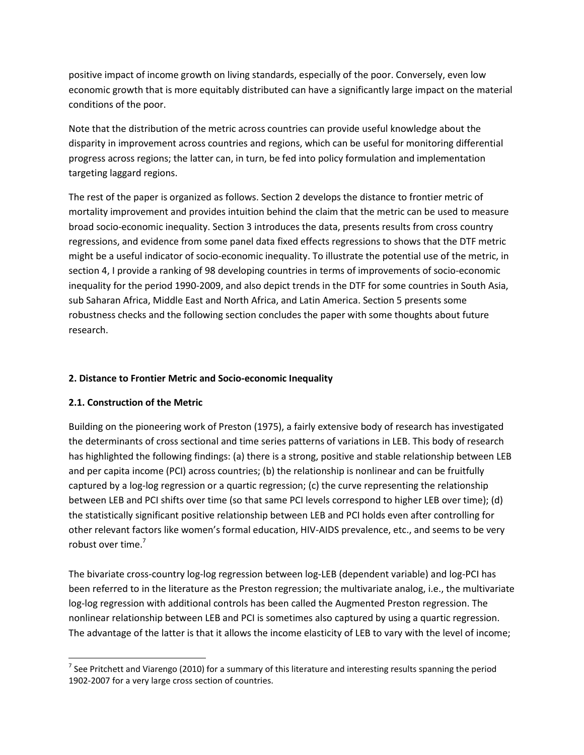positive impact of income growth on living standards, especially of the poor. Conversely, even low economic growth that is more equitably distributed can have a significantly large impact on the material conditions of the poor.

Note that the distribution of the metric across countries can provide useful knowledge about the disparity in improvement across countries and regions, which can be useful for monitoring differential progress across regions; the latter can, in turn, be fed into policy formulation and implementation targeting laggard regions.

The rest of the paper is organized as follows. Section 2 develops the distance to frontier metric of mortality improvement and provides intuition behind the claim that the metric can be used to measure broad socio-economic inequality. Section 3 introduces the data, presents results from cross country regressions, and evidence from some panel data fixed effects regressions to shows that the DTF metric might be a useful indicator of socio-economic inequality. To illustrate the potential use of the metric, in section 4, I provide a ranking of 98 developing countries in terms of improvements of socio-economic inequality for the period 1990-2009, and also depict trends in the DTF for some countries in South Asia, sub Saharan Africa, Middle East and North Africa, and Latin America. Section 5 presents some robustness checks and the following section concludes the paper with some thoughts about future research.

#### **2. Distance to Frontier Metric and Socio-economic Inequality**

#### **2.1. Construction of the Metric**

Building on the pioneering work of Preston (1975), a fairly extensive body of research has investigated the determinants of cross sectional and time series patterns of variations in LEB. This body of research has highlighted the following findings: (a) there is a strong, positive and stable relationship between LEB and per capita income (PCI) across countries; (b) the relationship is nonlinear and can be fruitfully captured by a log-log regression or a quartic regression; (c) the curve representing the relationship between LEB and PCI shifts over time (so that same PCI levels correspond to higher LEB over time); (d) the statistically significant positive relationship between LEB and PCI holds even after controlling for other relevant factors like women's formal education, HIV-AIDS prevalence, etc., and seems to be very robust over time.<sup>7</sup>

The bivariate cross-country log-log regression between log-LEB (dependent variable) and log-PCI has been referred to in the literature as the Preston regression; the multivariate analog, i.e., the multivariate log-log regression with additional controls has been called the Augmented Preston regression. The nonlinear relationship between LEB and PCI is sometimes also captured by using a quartic regression. The advantage of the latter is that it allows the income elasticity of LEB to vary with the level of income;

l <sup>7</sup> See Pritchett and Viarengo (2010) for a summary of this literature and interesting results spanning the period 1902-2007 for a very large cross section of countries.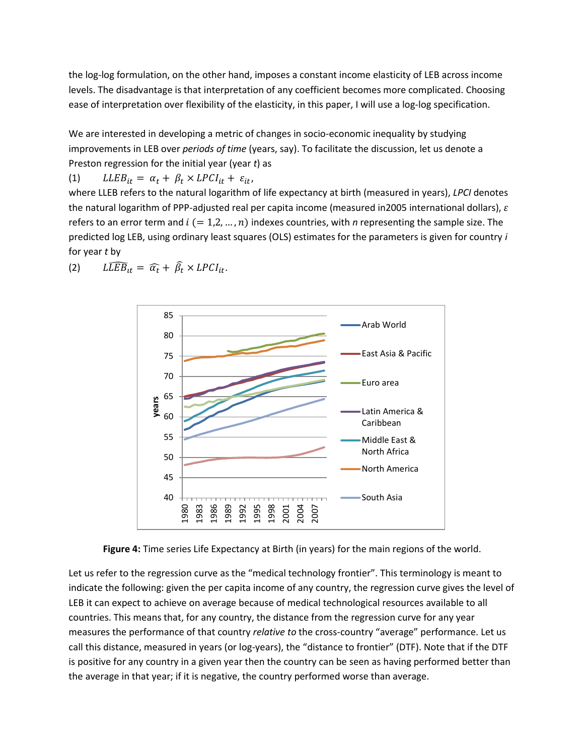the log-log formulation, on the other hand, imposes a constant income elasticity of LEB across income levels. The disadvantage is that interpretation of any coefficient becomes more complicated. Choosing ease of interpretation over flexibility of the elasticity, in this paper, I will use a log-log specification.

We are interested in developing a metric of changes in socio-economic inequality by studying improvements in LEB over *periods of time* (years, say). To facilitate the discussion, let us denote a Preston regression for the initial year (year *t*) as

(1)  $LLEB_{it} = \alpha_t + \beta_t \times LPCI_{it} + \varepsilon_{it}$ 

where LLEB refers to the natural logarithm of life expectancy at birth (measured in years), *LPCI* denotes the natural logarithm of PPP-adjusted real per capita income (measured in2005 international dollars),  $\varepsilon$ refers to an error term and  $i (= 1, 2, ..., n)$  indexes countries, with *n* representing the sample size. The predicted log LEB, using ordinary least squares (OLS) estimates for the parameters is given for country *i* for year *t* by



(2)  $L\widehat{LEB}_{it} = \widehat{\alpha_t} + \widehat{\beta_t} \times LPCI_{it}.$ 

**Figure 4:** Time series Life Expectancy at Birth (in years) for the main regions of the world.

Let us refer to the regression curve as the "medical technology frontier". This terminology is meant to indicate the following: given the per capita income of any country, the regression curve gives the level of LEB it can expect to achieve on average because of medical technological resources available to all countries. This means that, for any country, the distance from the regression curve for any year measures the performance of that country *relative to* the cross-country "average" performance. Let us call this distance, measured in years (or log-years), the "distance to frontier" (DTF). Note that if the DTF is positive for any country in a given year then the country can be seen as having performed better than the average in that year; if it is negative, the country performed worse than average.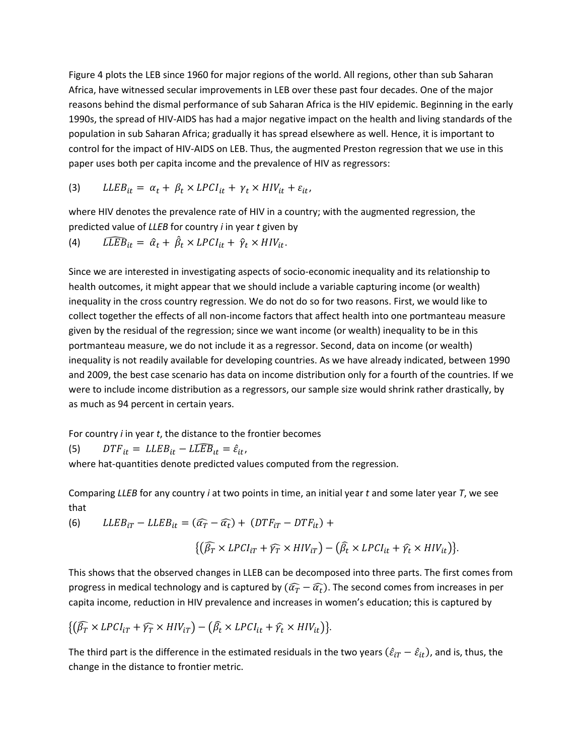Figure 4 plots the LEB since 1960 for major regions of the world. All regions, other than sub Saharan Africa, have witnessed secular improvements in LEB over these past four decades. One of the major reasons behind the dismal performance of sub Saharan Africa is the HIV epidemic. Beginning in the early 1990s, the spread of HIV-AIDS has had a major negative impact on the health and living standards of the population in sub Saharan Africa; gradually it has spread elsewhere as well. Hence, it is important to control for the impact of HIV-AIDS on LEB. Thus, the augmented Preston regression that we use in this paper uses both per capita income and the prevalence of HIV as regressors:

$$
(3) \qquad LLEB_{it} = \alpha_t + \beta_t \times LPCI_{it} + \gamma_t \times HIV_{it} + \varepsilon_{it},
$$

where HIV denotes the prevalence rate of HIV in a country; with the augmented regression, the predicted value of *LLEB* for country *i* in year *t* given by

(4) 
$$
\widehat{LLEB}_{it} = \hat{a}_t + \hat{\beta}_t \times LPCI_{it} + \hat{\gamma}_t \times HIV_{it}.
$$

Since we are interested in investigating aspects of socio-economic inequality and its relationship to health outcomes, it might appear that we should include a variable capturing income (or wealth) inequality in the cross country regression. We do not do so for two reasons. First, we would like to collect together the effects of all non-income factors that affect health into one portmanteau measure given by the residual of the regression; since we want income (or wealth) inequality to be in this portmanteau measure, we do not include it as a regressor. Second, data on income (or wealth) inequality is not readily available for developing countries. As we have already indicated, between 1990 and 2009, the best case scenario has data on income distribution only for a fourth of the countries. If we were to include income distribution as a regressors, our sample size would shrink rather drastically, by as much as 94 percent in certain years.

For country *i* in year *t*, the distance to the frontier becomes

(5)  $DTF_{it} = LLEB_{it} - L\widehat{LEB}_{it} = \hat{\varepsilon}_{it}$ ,

where hat-quantities denote predicted values computed from the regression.

Comparing *LLEB* for any country *i* at two points in time, an initial year *t* and some later year *T*, we see that

(6)  $LLEB_{iT} - LLEB_{it} = (\widehat{\alpha}_T - \widehat{\alpha}_t)$ 

$$
\{(\widehat{\beta_T}\times\text{LPCI}_{iT}+\widehat{\gamma_T}\times\text{HIV}_{iT})-(\widehat{\beta_t}\times\text{LPCI}_{it}+\widehat{\gamma_t}\times\text{HIV}_{it})\}.
$$

This shows that the observed changes in LLEB can be decomposed into three parts. The first comes from progress in medical technology and is captured by  $(\widehat{\alpha_T}-\widehat{\alpha_t})$ . The second comes from increases in per capita income, reduction in HIV prevalence and increases in women's education; this is captured by

$$
\{(\widehat{\beta_T}\times\text{LPCI}_{iT}+\widehat{\gamma_T}\times\text{HIV}_{iT})-(\widehat{\beta_t}\times\text{LPCI}_{it}+\widehat{\gamma_t}\times\text{HIV}_{it})\}.
$$

The third part is the difference in the estimated residuals in the two years  $(\hat{\varepsilon}_{iT} - \hat{\varepsilon}_{it})$ , and is, thus, the change in the distance to frontier metric.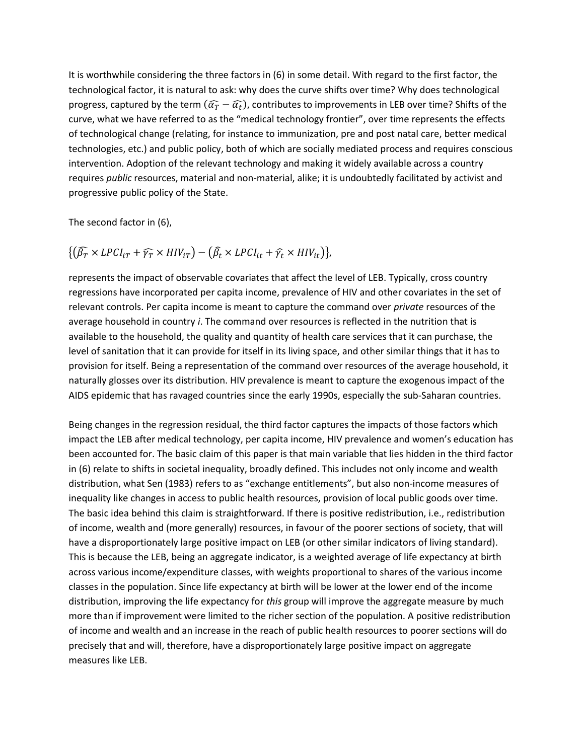It is worthwhile considering the three factors in (6) in some detail. With regard to the first factor, the technological factor, it is natural to ask: why does the curve shifts over time? Why does technological progress, captured by the term  $(\widehat{a_T}-\widehat{a_t})$ , contributes to improvements in LEB over time? Shifts of the curve, what we have referred to as the "medical technology frontier", over time represents the effects of technological change (relating, for instance to immunization, pre and post natal care, better medical technologies, etc.) and public policy, both of which are socially mediated process and requires conscious intervention. Adoption of the relevant technology and making it widely available across a country requires *public* resources, material and non-material, alike; it is undoubtedly facilitated by activist and progressive public policy of the State.

The second factor in (6),

$$
\{(\widehat{\beta_T} \times LPCI_{iT} + \widehat{\gamma_T} \times HIV_{iT}) - (\widehat{\beta_t} \times LPCI_{it} + \widehat{\gamma_t} \times HIV_{it})\},\
$$

represents the impact of observable covariates that affect the level of LEB. Typically, cross country regressions have incorporated per capita income, prevalence of HIV and other covariates in the set of relevant controls. Per capita income is meant to capture the command over *private* resources of the average household in country *i*. The command over resources is reflected in the nutrition that is available to the household, the quality and quantity of health care services that it can purchase, the level of sanitation that it can provide for itself in its living space, and other similar things that it has to provision for itself. Being a representation of the command over resources of the average household, it naturally glosses over its distribution. HIV prevalence is meant to capture the exogenous impact of the AIDS epidemic that has ravaged countries since the early 1990s, especially the sub-Saharan countries.

Being changes in the regression residual, the third factor captures the impacts of those factors which impact the LEB after medical technology, per capita income, HIV prevalence and women's education has been accounted for. The basic claim of this paper is that main variable that lies hidden in the third factor in (6) relate to shifts in societal inequality, broadly defined. This includes not only income and wealth distribution, what Sen (1983) refers to as "exchange entitlements", but also non-income measures of inequality like changes in access to public health resources, provision of local public goods over time. The basic idea behind this claim is straightforward. If there is positive redistribution, i.e., redistribution of income, wealth and (more generally) resources, in favour of the poorer sections of society, that will have a disproportionately large positive impact on LEB (or other similar indicators of living standard). This is because the LEB, being an aggregate indicator, is a weighted average of life expectancy at birth across various income/expenditure classes, with weights proportional to shares of the various income classes in the population. Since life expectancy at birth will be lower at the lower end of the income distribution, improving the life expectancy for *this* group will improve the aggregate measure by much more than if improvement were limited to the richer section of the population. A positive redistribution of income and wealth and an increase in the reach of public health resources to poorer sections will do precisely that and will, therefore, have a disproportionately large positive impact on aggregate measures like LEB.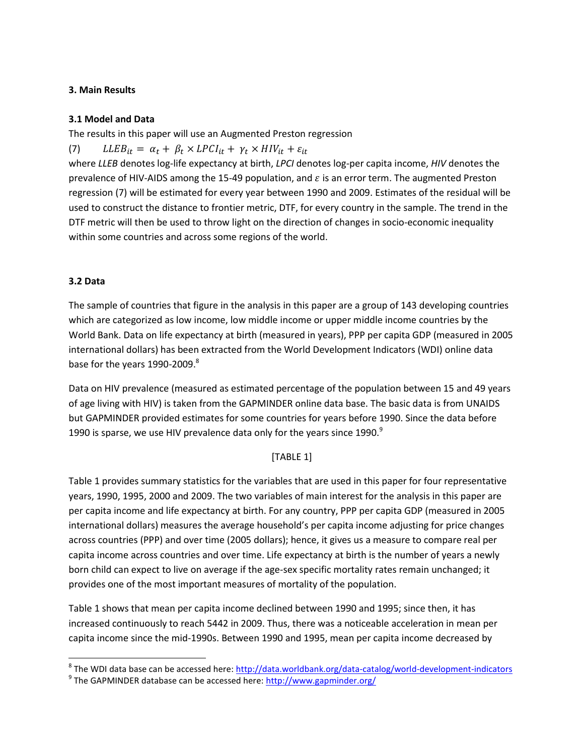#### **3. Main Results**

#### **3.1 Model and Data**

The results in this paper will use an Augmented Preston regression

(7)  $LLEB_{it} = \alpha_t + \beta_t \times LPCI_{it} + \gamma_t \times HIV_{it} + \varepsilon_{it}$ 

where *LLEB* denotes log-life expectancy at birth, *LPCI* denotes log-per capita income, *HIV* denotes the prevalence of HIV-AIDS among the 15-49 population, and  $\varepsilon$  is an error term. The augmented Preston regression (7) will be estimated for every year between 1990 and 2009. Estimates of the residual will be used to construct the distance to frontier metric, DTF, for every country in the sample. The trend in the DTF metric will then be used to throw light on the direction of changes in socio-economic inequality within some countries and across some regions of the world.

#### **3.2 Data**

l

The sample of countries that figure in the analysis in this paper are a group of 143 developing countries which are categorized as low income, low middle income or upper middle income countries by the World Bank. Data on life expectancy at birth (measured in years), PPP per capita GDP (measured in 2005 international dollars) has been extracted from the World Development Indicators (WDI) online data base for the years 1990-2009. $8$ 

Data on HIV prevalence (measured as estimated percentage of the population between 15 and 49 years of age living with HIV) is taken from the GAPMINDER online data base. The basic data is from UNAIDS but GAPMINDER provided estimates for some countries for years before 1990. Since the data before 1990 is sparse, we use HIV prevalence data only for the years since  $1990.<sup>9</sup>$ 

#### [TABLE 1]

Table 1 provides summary statistics for the variables that are used in this paper for four representative years, 1990, 1995, 2000 and 2009. The two variables of main interest for the analysis in this paper are per capita income and life expectancy at birth. For any country, PPP per capita GDP (measured in 2005 international dollars) measures the average household's per capita income adjusting for price changes across countries (PPP) and over time (2005 dollars); hence, it gives us a measure to compare real per capita income across countries and over time. Life expectancy at birth is the number of years a newly born child can expect to live on average if the age-sex specific mortality rates remain unchanged; it provides one of the most important measures of mortality of the population.

Table 1 shows that mean per capita income declined between 1990 and 1995; since then, it has increased continuously to reach 5442 in 2009. Thus, there was a noticeable acceleration in mean per capita income since the mid-1990s. Between 1990 and 1995, mean per capita income decreased by

<sup>&</sup>lt;sup>8</sup> The WDI data base can be accessed here: <u>http://data.worldbank.org/data-catalog/world-development-indicators</u>

<sup>&</sup>lt;sup>9</sup> The GAPMINDER database can be accessed here:<http://www.gapminder.org/>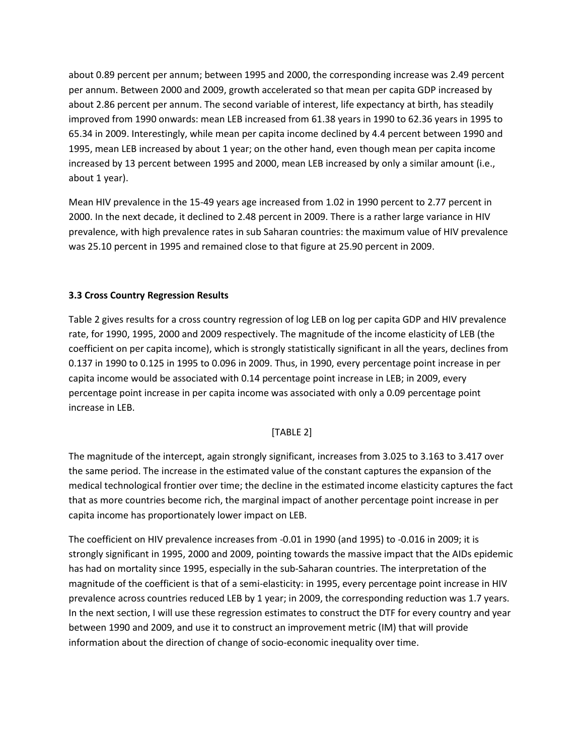about 0.89 percent per annum; between 1995 and 2000, the corresponding increase was 2.49 percent per annum. Between 2000 and 2009, growth accelerated so that mean per capita GDP increased by about 2.86 percent per annum. The second variable of interest, life expectancy at birth, has steadily improved from 1990 onwards: mean LEB increased from 61.38 years in 1990 to 62.36 years in 1995 to 65.34 in 2009. Interestingly, while mean per capita income declined by 4.4 percent between 1990 and 1995, mean LEB increased by about 1 year; on the other hand, even though mean per capita income increased by 13 percent between 1995 and 2000, mean LEB increased by only a similar amount (i.e., about 1 year).

Mean HIV prevalence in the 15-49 years age increased from 1.02 in 1990 percent to 2.77 percent in 2000. In the next decade, it declined to 2.48 percent in 2009. There is a rather large variance in HIV prevalence, with high prevalence rates in sub Saharan countries: the maximum value of HIV prevalence was 25.10 percent in 1995 and remained close to that figure at 25.90 percent in 2009.

#### **3.3 Cross Country Regression Results**

Table 2 gives results for a cross country regression of log LEB on log per capita GDP and HIV prevalence rate, for 1990, 1995, 2000 and 2009 respectively. The magnitude of the income elasticity of LEB (the coefficient on per capita income), which is strongly statistically significant in all the years, declines from 0.137 in 1990 to 0.125 in 1995 to 0.096 in 2009. Thus, in 1990, every percentage point increase in per capita income would be associated with 0.14 percentage point increase in LEB; in 2009, every percentage point increase in per capita income was associated with only a 0.09 percentage point increase in LEB.

#### [TABLE 2]

The magnitude of the intercept, again strongly significant, increases from 3.025 to 3.163 to 3.417 over the same period. The increase in the estimated value of the constant captures the expansion of the medical technological frontier over time; the decline in the estimated income elasticity captures the fact that as more countries become rich, the marginal impact of another percentage point increase in per capita income has proportionately lower impact on LEB.

The coefficient on HIV prevalence increases from -0.01 in 1990 (and 1995) to -0.016 in 2009; it is strongly significant in 1995, 2000 and 2009, pointing towards the massive impact that the AIDs epidemic has had on mortality since 1995, especially in the sub-Saharan countries. The interpretation of the magnitude of the coefficient is that of a semi-elasticity: in 1995, every percentage point increase in HIV prevalence across countries reduced LEB by 1 year; in 2009, the corresponding reduction was 1.7 years. In the next section, I will use these regression estimates to construct the DTF for every country and year between 1990 and 2009, and use it to construct an improvement metric (IM) that will provide information about the direction of change of socio-economic inequality over time.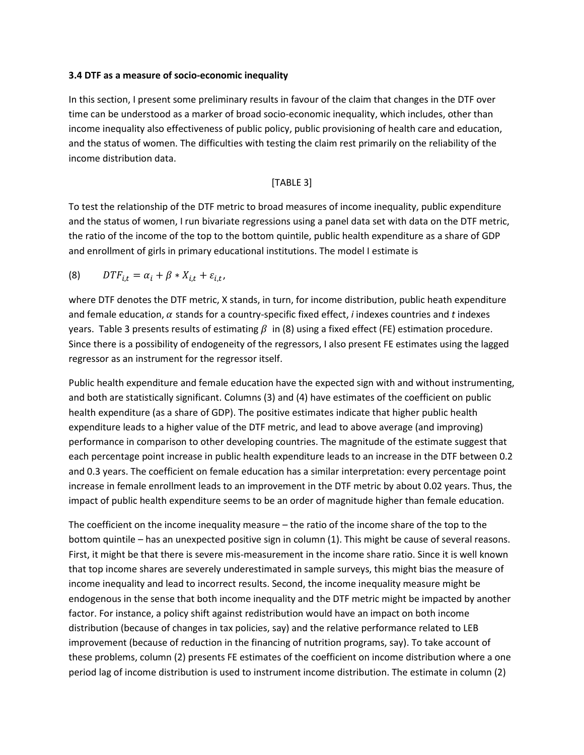#### **3.4 DTF as a measure of socio-economic inequality**

In this section, I present some preliminary results in favour of the claim that changes in the DTF over time can be understood as a marker of broad socio-economic inequality, which includes, other than income inequality also effectiveness of public policy, public provisioning of health care and education, and the status of women. The difficulties with testing the claim rest primarily on the reliability of the income distribution data.

#### [TABLE 3]

To test the relationship of the DTF metric to broad measures of income inequality, public expenditure and the status of women, I run bivariate regressions using a panel data set with data on the DTF metric, the ratio of the income of the top to the bottom quintile, public health expenditure as a share of GDP and enrollment of girls in primary educational institutions. The model I estimate is

$$
(8) \tDT F_{i,t} = \alpha_i + \beta * X_{i,t} + \varepsilon_{i,t},
$$

where DTF denotes the DTF metric, X stands, in turn, for income distribution, public heath expenditure and female education,  $\alpha$  stands for a country-specific fixed effect, *i* indexes countries and *t* indexes years. Table 3 presents results of estimating  $\beta$  in (8) using a fixed effect (FE) estimation procedure. Since there is a possibility of endogeneity of the regressors, I also present FE estimates using the lagged regressor as an instrument for the regressor itself.

Public health expenditure and female education have the expected sign with and without instrumenting, and both are statistically significant. Columns (3) and (4) have estimates of the coefficient on public health expenditure (as a share of GDP). The positive estimates indicate that higher public health expenditure leads to a higher value of the DTF metric, and lead to above average (and improving) performance in comparison to other developing countries. The magnitude of the estimate suggest that each percentage point increase in public health expenditure leads to an increase in the DTF between 0.2 and 0.3 years. The coefficient on female education has a similar interpretation: every percentage point increase in female enrollment leads to an improvement in the DTF metric by about 0.02 years. Thus, the impact of public health expenditure seems to be an order of magnitude higher than female education.

The coefficient on the income inequality measure – the ratio of the income share of the top to the bottom quintile – has an unexpected positive sign in column (1). This might be cause of several reasons. First, it might be that there is severe mis-measurement in the income share ratio. Since it is well known that top income shares are severely underestimated in sample surveys, this might bias the measure of income inequality and lead to incorrect results. Second, the income inequality measure might be endogenous in the sense that both income inequality and the DTF metric might be impacted by another factor. For instance, a policy shift against redistribution would have an impact on both income distribution (because of changes in tax policies, say) and the relative performance related to LEB improvement (because of reduction in the financing of nutrition programs, say). To take account of these problems, column (2) presents FE estimates of the coefficient on income distribution where a one period lag of income distribution is used to instrument income distribution. The estimate in column (2)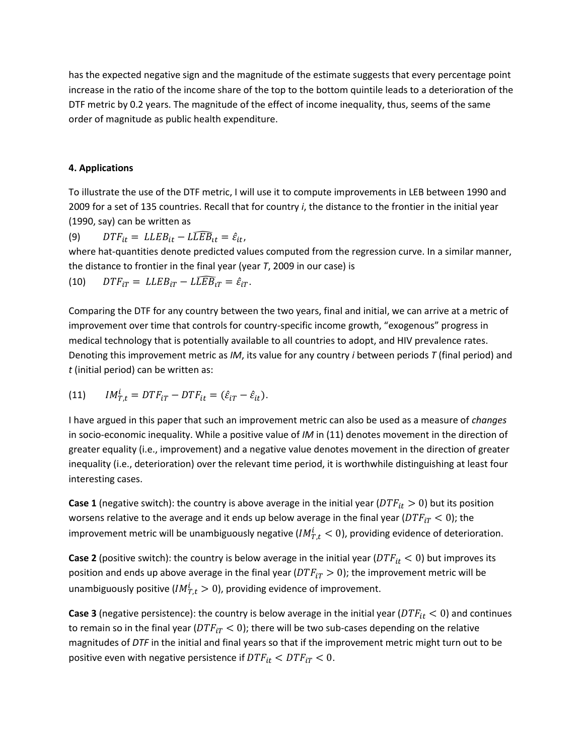has the expected negative sign and the magnitude of the estimate suggests that every percentage point increase in the ratio of the income share of the top to the bottom quintile leads to a deterioration of the DTF metric by 0.2 years. The magnitude of the effect of income inequality, thus, seems of the same order of magnitude as public health expenditure.

#### **4. Applications**

To illustrate the use of the DTF metric, I will use it to compute improvements in LEB between 1990 and 2009 for a set of 135 countries. Recall that for country *i*, the distance to the frontier in the initial year (1990, say) can be written as

(9)  $DTF_{it} = LLEB_{it} - L\widehat{LEB}_{it} = \hat{\varepsilon}_{it},$ 

where hat-quantities denote predicted values computed from the regression curve. In a similar manner, the distance to frontier in the final year (year *T*, 2009 in our case) is

(10) 
$$
DTF_{iT} = LLEB_{iT} - L\widehat{LEB}_{iT} = \hat{\varepsilon}_{iT}.
$$

Comparing the DTF for any country between the two years, final and initial, we can arrive at a metric of improvement over time that controls for country-specific income growth, "exogenous" progress in medical technology that is potentially available to all countries to adopt, and HIV prevalence rates. Denoting this improvement metric as *IM*, its value for any country *i* between periods *T* (final period) and *t* (initial period) can be written as:

(11) 
$$
IM_{T,t}^i = DTF_{iT} - DTF_{it} = (\hat{\varepsilon}_{iT} - \hat{\varepsilon}_{it}).
$$

I have argued in this paper that such an improvement metric can also be used as a measure of *changes* in socio-economic inequality. While a positive value of *IM* in (11) denotes movement in the direction of greater equality (i.e., improvement) and a negative value denotes movement in the direction of greater inequality (i.e., deterioration) over the relevant time period, it is worthwhile distinguishing at least four interesting cases.

**Case 1** (negative switch): the country is above average in the initial year ( $DTF_{it} > 0$ ) but its position worsens relative to the average and it ends up below average in the final year ( $DTF_{iT}$  < 0); the improvement metric will be unambiguously negative ( $IM_{T.t}^{i} < 0$ ), providing evidence of deterioration.

**Case 2** (positive switch): the country is below average in the initial year ( $DTF_{it} < 0$ ) but improves its position and ends up above average in the final year ( $DTF_{iT} > 0$ ); the improvement metric will be unambiguously positive ( $IM_{T.t}^i > 0$ ), providing evidence of improvement.

**Case 3** (negative persistence): the country is below average in the initial year ( $DTF_{it}$  < 0) and continues to remain so in the final year ( $DTF_{iT}$  < 0); there will be two sub-cases depending on the relative magnitudes of *DTF* in the initial and final years so that if the improvement metric might turn out to be positive even with negative persistence if  $DTF_{it} < DTF_{iT} < 0$ .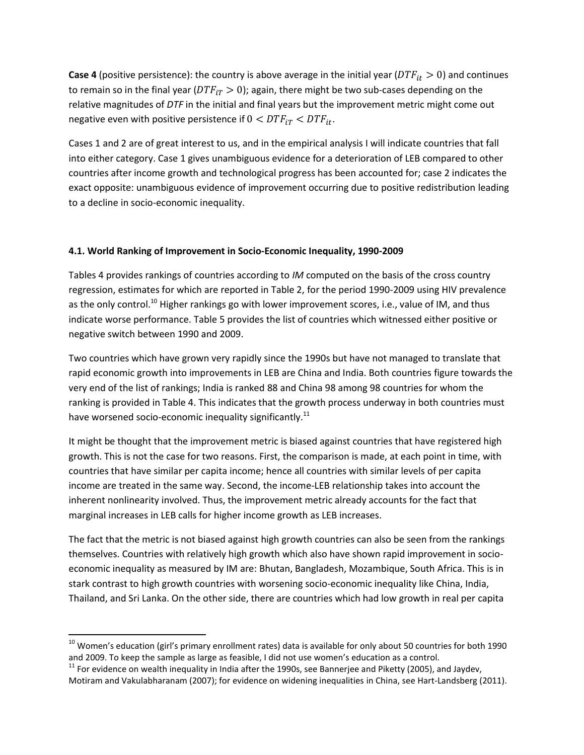**Case 4** (positive persistence): the country is above average in the initial year ( $DTF_{it} > 0$ ) and continues to remain so in the final year ( $DTF_{iT} > 0$ ); again, there might be two sub-cases depending on the relative magnitudes of *DTF* in the initial and final years but the improvement metric might come out negative even with positive persistence if  $0 < DTF_{iT} < DTF_{it}$ .

Cases 1 and 2 are of great interest to us, and in the empirical analysis I will indicate countries that fall into either category. Case 1 gives unambiguous evidence for a deterioration of LEB compared to other countries after income growth and technological progress has been accounted for; case 2 indicates the exact opposite: unambiguous evidence of improvement occurring due to positive redistribution leading to a decline in socio-economic inequality.

#### **4.1. World Ranking of Improvement in Socio-Economic Inequality, 1990-2009**

Tables 4 provides rankings of countries according to *IM* computed on the basis of the cross country regression, estimates for which are reported in Table 2, for the period 1990-2009 using HIV prevalence as the only control.<sup>10</sup> Higher rankings go with lower improvement scores, i.e., value of IM, and thus indicate worse performance. Table 5 provides the list of countries which witnessed either positive or negative switch between 1990 and 2009.

Two countries which have grown very rapidly since the 1990s but have not managed to translate that rapid economic growth into improvements in LEB are China and India. Both countries figure towards the very end of the list of rankings; India is ranked 88 and China 98 among 98 countries for whom the ranking is provided in Table 4. This indicates that the growth process underway in both countries must have worsened socio-economic inequality significantly.<sup>11</sup>

It might be thought that the improvement metric is biased against countries that have registered high growth. This is not the case for two reasons. First, the comparison is made, at each point in time, with countries that have similar per capita income; hence all countries with similar levels of per capita income are treated in the same way. Second, the income-LEB relationship takes into account the inherent nonlinearity involved. Thus, the improvement metric already accounts for the fact that marginal increases in LEB calls for higher income growth as LEB increases.

The fact that the metric is not biased against high growth countries can also be seen from the rankings themselves. Countries with relatively high growth which also have shown rapid improvement in socioeconomic inequality as measured by IM are: Bhutan, Bangladesh, Mozambique, South Africa. This is in stark contrast to high growth countries with worsening socio-economic inequality like China, India, Thailand, and Sri Lanka. On the other side, there are countries which had low growth in real per capita

 $\overline{a}$ 

 $10$  Women's education (girl's primary enrollment rates) data is available for only about 50 countries for both 1990 and 2009. To keep the sample as large as feasible, I did not use women's education as a control.

 $11$  For evidence on wealth inequality in India after the 1990s, see Bannerjee and Piketty (2005), and Jaydev, Motiram and Vakulabharanam (2007); for evidence on widening inequalities in China, see Hart-Landsberg (2011).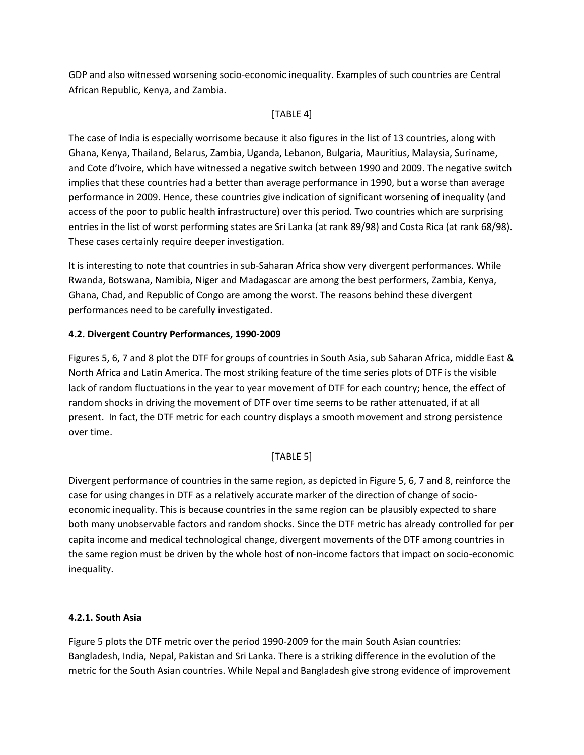GDP and also witnessed worsening socio-economic inequality. Examples of such countries are Central African Republic, Kenya, and Zambia.

#### [TABLE 4]

The case of India is especially worrisome because it also figures in the list of 13 countries, along with Ghana, Kenya, Thailand, Belarus, Zambia, Uganda, Lebanon, Bulgaria, Mauritius, Malaysia, Suriname, and Cote d'Ivoire, which have witnessed a negative switch between 1990 and 2009. The negative switch implies that these countries had a better than average performance in 1990, but a worse than average performance in 2009. Hence, these countries give indication of significant worsening of inequality (and access of the poor to public health infrastructure) over this period. Two countries which are surprising entries in the list of worst performing states are Sri Lanka (at rank 89/98) and Costa Rica (at rank 68/98). These cases certainly require deeper investigation.

It is interesting to note that countries in sub-Saharan Africa show very divergent performances. While Rwanda, Botswana, Namibia, Niger and Madagascar are among the best performers, Zambia, Kenya, Ghana, Chad, and Republic of Congo are among the worst. The reasons behind these divergent performances need to be carefully investigated.

#### **4.2. Divergent Country Performances, 1990-2009**

Figures 5, 6, 7 and 8 plot the DTF for groups of countries in South Asia, sub Saharan Africa, middle East & North Africa and Latin America. The most striking feature of the time series plots of DTF is the visible lack of random fluctuations in the year to year movement of DTF for each country; hence, the effect of random shocks in driving the movement of DTF over time seems to be rather attenuated, if at all present. In fact, the DTF metric for each country displays a smooth movement and strong persistence over time.

#### [TABLE 5]

Divergent performance of countries in the same region, as depicted in Figure 5, 6, 7 and 8, reinforce the case for using changes in DTF as a relatively accurate marker of the direction of change of socioeconomic inequality. This is because countries in the same region can be plausibly expected to share both many unobservable factors and random shocks. Since the DTF metric has already controlled for per capita income and medical technological change, divergent movements of the DTF among countries in the same region must be driven by the whole host of non-income factors that impact on socio-economic inequality.

#### **4.2.1. South Asia**

Figure 5 plots the DTF metric over the period 1990-2009 for the main South Asian countries: Bangladesh, India, Nepal, Pakistan and Sri Lanka. There is a striking difference in the evolution of the metric for the South Asian countries. While Nepal and Bangladesh give strong evidence of improvement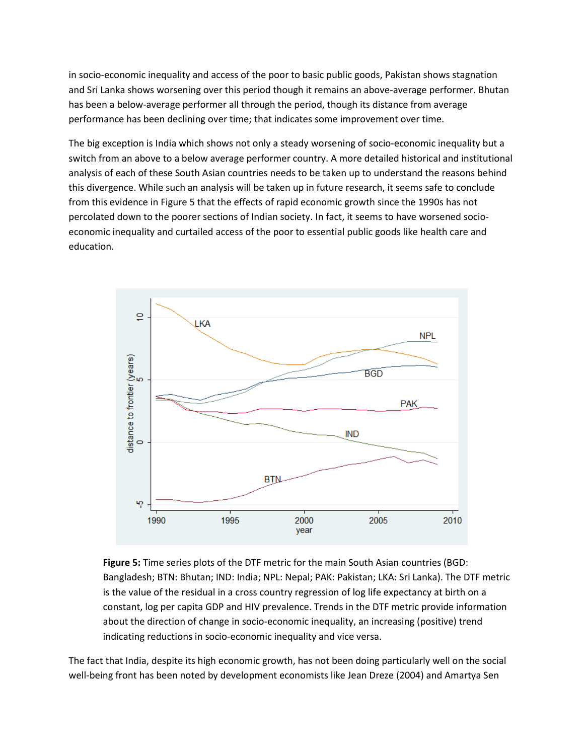in socio-economic inequality and access of the poor to basic public goods, Pakistan shows stagnation and Sri Lanka shows worsening over this period though it remains an above-average performer. Bhutan has been a below-average performer all through the period, though its distance from average performance has been declining over time; that indicates some improvement over time.

The big exception is India which shows not only a steady worsening of socio-economic inequality but a switch from an above to a below average performer country. A more detailed historical and institutional analysis of each of these South Asian countries needs to be taken up to understand the reasons behind this divergence. While such an analysis will be taken up in future research, it seems safe to conclude from this evidence in Figure 5 that the effects of rapid economic growth since the 1990s has not percolated down to the poorer sections of Indian society. In fact, it seems to have worsened socioeconomic inequality and curtailed access of the poor to essential public goods like health care and education.



**Figure 5:** Time series plots of the DTF metric for the main South Asian countries (BGD: Bangladesh; BTN: Bhutan; IND: India; NPL: Nepal; PAK: Pakistan; LKA: Sri Lanka). The DTF metric is the value of the residual in a cross country regression of log life expectancy at birth on a constant, log per capita GDP and HIV prevalence. Trends in the DTF metric provide information about the direction of change in socio-economic inequality, an increasing (positive) trend indicating reductions in socio-economic inequality and vice versa.

The fact that India, despite its high economic growth, has not been doing particularly well on the social well-being front has been noted by development economists like Jean Dreze (2004) and Amartya Sen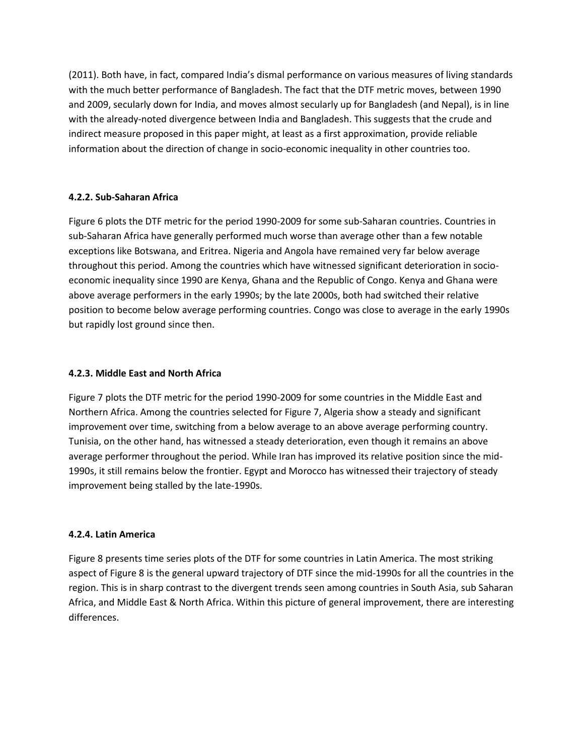(2011). Both have, in fact, compared India's dismal performance on various measures of living standards with the much better performance of Bangladesh. The fact that the DTF metric moves, between 1990 and 2009, secularly down for India, and moves almost secularly up for Bangladesh (and Nepal), is in line with the already-noted divergence between India and Bangladesh. This suggests that the crude and indirect measure proposed in this paper might, at least as a first approximation, provide reliable information about the direction of change in socio-economic inequality in other countries too.

#### **4.2.2. Sub-Saharan Africa**

Figure 6 plots the DTF metric for the period 1990-2009 for some sub-Saharan countries. Countries in sub-Saharan Africa have generally performed much worse than average other than a few notable exceptions like Botswana, and Eritrea. Nigeria and Angola have remained very far below average throughout this period. Among the countries which have witnessed significant deterioration in socioeconomic inequality since 1990 are Kenya, Ghana and the Republic of Congo. Kenya and Ghana were above average performers in the early 1990s; by the late 2000s, both had switched their relative position to become below average performing countries. Congo was close to average in the early 1990s but rapidly lost ground since then.

#### **4.2.3. Middle East and North Africa**

Figure 7 plots the DTF metric for the period 1990-2009 for some countries in the Middle East and Northern Africa. Among the countries selected for Figure 7, Algeria show a steady and significant improvement over time, switching from a below average to an above average performing country. Tunisia, on the other hand, has witnessed a steady deterioration, even though it remains an above average performer throughout the period. While Iran has improved its relative position since the mid-1990s, it still remains below the frontier. Egypt and Morocco has witnessed their trajectory of steady improvement being stalled by the late-1990s.

#### **4.2.4. Latin America**

Figure 8 presents time series plots of the DTF for some countries in Latin America. The most striking aspect of Figure 8 is the general upward trajectory of DTF since the mid-1990s for all the countries in the region. This is in sharp contrast to the divergent trends seen among countries in South Asia, sub Saharan Africa, and Middle East & North Africa. Within this picture of general improvement, there are interesting differences.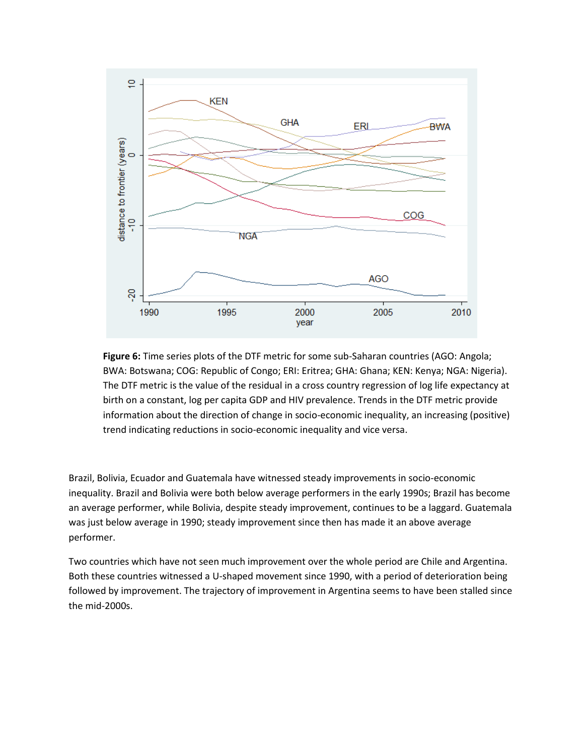

**Figure 6:** Time series plots of the DTF metric for some sub-Saharan countries (AGO: Angola; BWA: Botswana; COG: Republic of Congo; ERI: Eritrea; GHA: Ghana; KEN: Kenya; NGA: Nigeria). The DTF metric is the value of the residual in a cross country regression of log life expectancy at birth on a constant, log per capita GDP and HIV prevalence. Trends in the DTF metric provide information about the direction of change in socio-economic inequality, an increasing (positive) trend indicating reductions in socio-economic inequality and vice versa.

Brazil, Bolivia, Ecuador and Guatemala have witnessed steady improvements in socio-economic inequality. Brazil and Bolivia were both below average performers in the early 1990s; Brazil has become an average performer, while Bolivia, despite steady improvement, continues to be a laggard. Guatemala was just below average in 1990; steady improvement since then has made it an above average performer.

Two countries which have not seen much improvement over the whole period are Chile and Argentina. Both these countries witnessed a U-shaped movement since 1990, with a period of deterioration being followed by improvement. The trajectory of improvement in Argentina seems to have been stalled since the mid-2000s.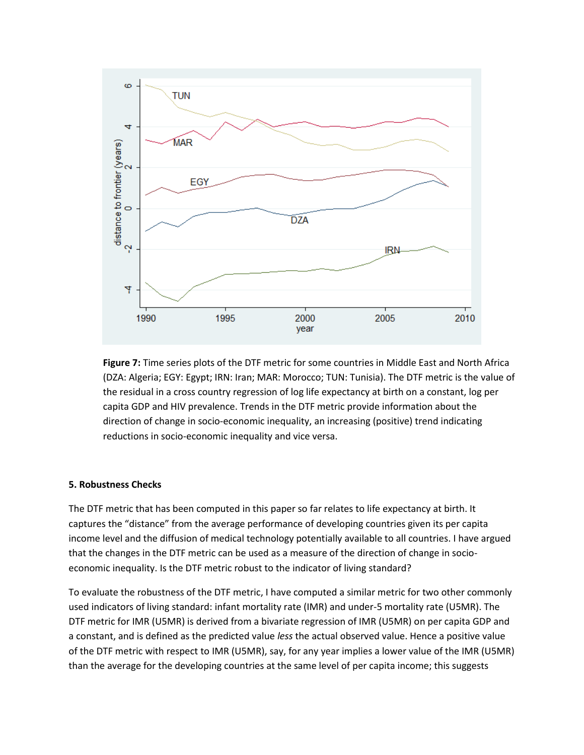

**Figure 7:** Time series plots of the DTF metric for some countries in Middle East and North Africa (DZA: Algeria; EGY: Egypt; IRN: Iran; MAR: Morocco; TUN: Tunisia). The DTF metric is the value of the residual in a cross country regression of log life expectancy at birth on a constant, log per capita GDP and HIV prevalence. Trends in the DTF metric provide information about the direction of change in socio-economic inequality, an increasing (positive) trend indicating reductions in socio-economic inequality and vice versa.

#### **5. Robustness Checks**

The DTF metric that has been computed in this paper so far relates to life expectancy at birth. It captures the "distance" from the average performance of developing countries given its per capita income level and the diffusion of medical technology potentially available to all countries. I have argued that the changes in the DTF metric can be used as a measure of the direction of change in socioeconomic inequality. Is the DTF metric robust to the indicator of living standard?

To evaluate the robustness of the DTF metric, I have computed a similar metric for two other commonly used indicators of living standard: infant mortality rate (IMR) and under-5 mortality rate (U5MR). The DTF metric for IMR (U5MR) is derived from a bivariate regression of IMR (U5MR) on per capita GDP and a constant, and is defined as the predicted value *less* the actual observed value. Hence a positive value of the DTF metric with respect to IMR (U5MR), say, for any year implies a lower value of the IMR (U5MR) than the average for the developing countries at the same level of per capita income; this suggests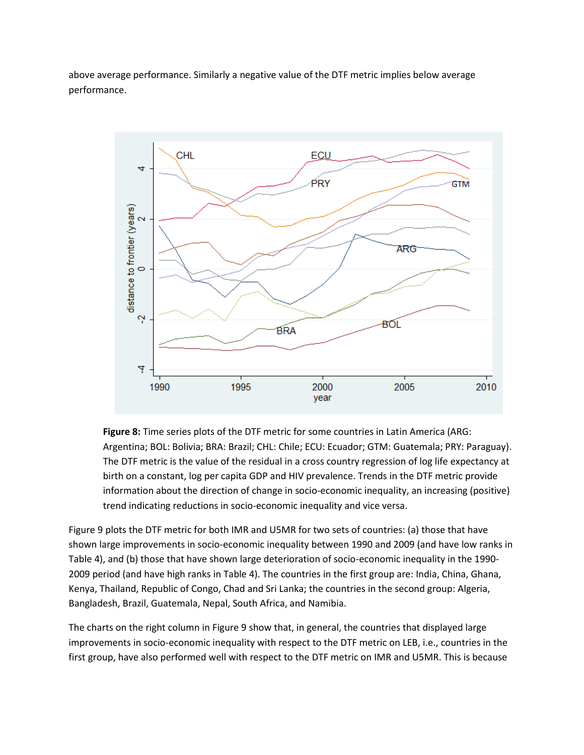above average performance. Similarly a negative value of the DTF metric implies below average performance.



**Figure 8:** Time series plots of the DTF metric for some countries in Latin America (ARG: Argentina; BOL: Bolivia; BRA: Brazil; CHL: Chile; ECU: Ecuador; GTM: Guatemala; PRY: Paraguay). The DTF metric is the value of the residual in a cross country regression of log life expectancy at birth on a constant, log per capita GDP and HIV prevalence. Trends in the DTF metric provide information about the direction of change in socio-economic inequality, an increasing (positive) trend indicating reductions in socio-economic inequality and vice versa.

Figure 9 plots the DTF metric for both IMR and U5MR for two sets of countries: (a) those that have shown large improvements in socio-economic inequality between 1990 and 2009 (and have low ranks in Table 4), and (b) those that have shown large deterioration of socio-economic inequality in the 1990- 2009 period (and have high ranks in Table 4). The countries in the first group are: India, China, Ghana, Kenya, Thailand, Republic of Congo, Chad and Sri Lanka; the countries in the second group: Algeria, Bangladesh, Brazil, Guatemala, Nepal, South Africa, and Namibia.

The charts on the right column in Figure 9 show that, in general, the countries that displayed large improvements in socio-economic inequality with respect to the DTF metric on LEB, i.e., countries in the first group, have also performed well with respect to the DTF metric on IMR and U5MR. This is because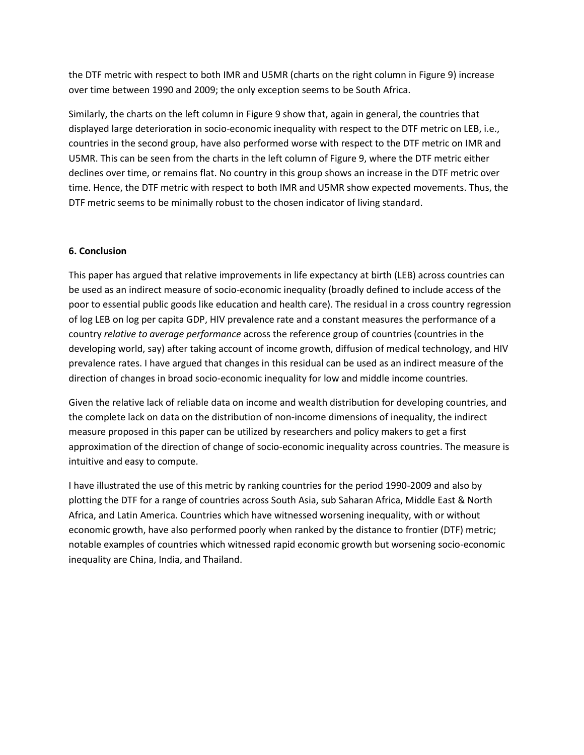the DTF metric with respect to both IMR and U5MR (charts on the right column in Figure 9) increase over time between 1990 and 2009; the only exception seems to be South Africa.

Similarly, the charts on the left column in Figure 9 show that, again in general, the countries that displayed large deterioration in socio-economic inequality with respect to the DTF metric on LEB, i.e., countries in the second group, have also performed worse with respect to the DTF metric on IMR and U5MR. This can be seen from the charts in the left column of Figure 9, where the DTF metric either declines over time, or remains flat. No country in this group shows an increase in the DTF metric over time. Hence, the DTF metric with respect to both IMR and U5MR show expected movements. Thus, the DTF metric seems to be minimally robust to the chosen indicator of living standard.

#### **6. Conclusion**

This paper has argued that relative improvements in life expectancy at birth (LEB) across countries can be used as an indirect measure of socio-economic inequality (broadly defined to include access of the poor to essential public goods like education and health care). The residual in a cross country regression of log LEB on log per capita GDP, HIV prevalence rate and a constant measures the performance of a country *relative to average performance* across the reference group of countries (countries in the developing world, say) after taking account of income growth, diffusion of medical technology, and HIV prevalence rates. I have argued that changes in this residual can be used as an indirect measure of the direction of changes in broad socio-economic inequality for low and middle income countries.

Given the relative lack of reliable data on income and wealth distribution for developing countries, and the complete lack on data on the distribution of non-income dimensions of inequality, the indirect measure proposed in this paper can be utilized by researchers and policy makers to get a first approximation of the direction of change of socio-economic inequality across countries. The measure is intuitive and easy to compute.

I have illustrated the use of this metric by ranking countries for the period 1990-2009 and also by plotting the DTF for a range of countries across South Asia, sub Saharan Africa, Middle East & North Africa, and Latin America. Countries which have witnessed worsening inequality, with or without economic growth, have also performed poorly when ranked by the distance to frontier (DTF) metric; notable examples of countries which witnessed rapid economic growth but worsening socio-economic inequality are China, India, and Thailand.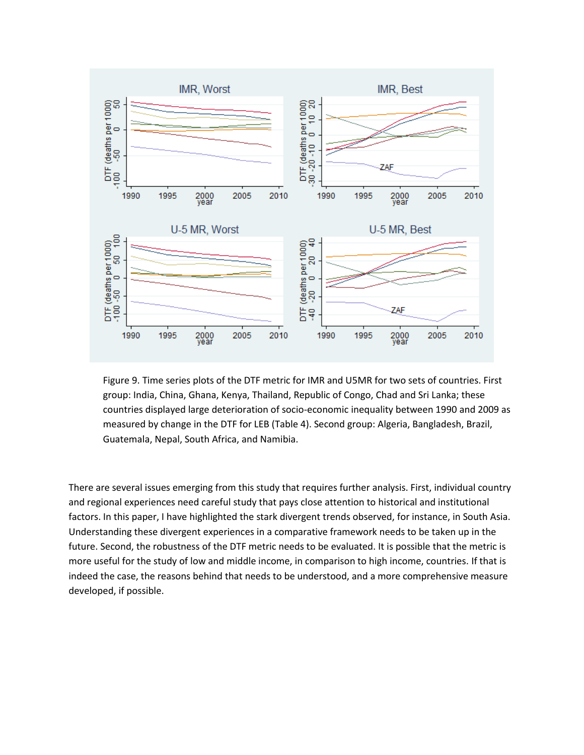

Figure 9. Time series plots of the DTF metric for IMR and U5MR for two sets of countries. First group: India, China, Ghana, Kenya, Thailand, Republic of Congo, Chad and Sri Lanka; these countries displayed large deterioration of socio-economic inequality between 1990 and 2009 as measured by change in the DTF for LEB (Table 4). Second group: Algeria, Bangladesh, Brazil, Guatemala, Nepal, South Africa, and Namibia.

There are several issues emerging from this study that requires further analysis. First, individual country and regional experiences need careful study that pays close attention to historical and institutional factors. In this paper, I have highlighted the stark divergent trends observed, for instance, in South Asia. Understanding these divergent experiences in a comparative framework needs to be taken up in the future. Second, the robustness of the DTF metric needs to be evaluated. It is possible that the metric is more useful for the study of low and middle income, in comparison to high income, countries. If that is indeed the case, the reasons behind that needs to be understood, and a more comprehensive measure developed, if possible.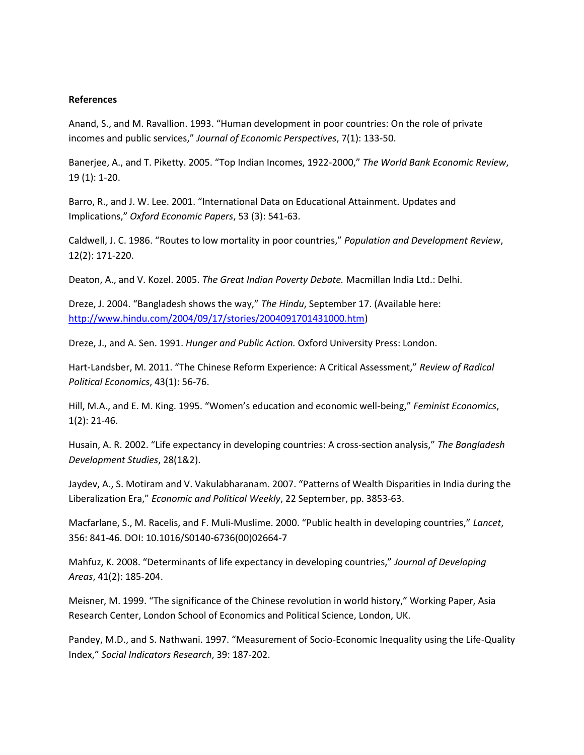#### **References**

Anand, S., and M. Ravallion. 1993. "Human development in poor countries: On the role of private incomes and public services," *Journal of Economic Perspectives*, 7(1): 133-50.

Banerjee, A., and T. Piketty. 2005. "Top Indian Incomes, 1922-2000," *The World Bank Economic Review*, 19 (1): 1-20.

Barro, R., and J. W. Lee. 2001. "International Data on Educational Attainment. Updates and Implications," *Oxford Economic Papers*, 53 (3): 541-63.

Caldwell, J. C. 1986. "Routes to low mortality in poor countries," *Population and Development Review*, 12(2): 171-220.

Deaton, A., and V. Kozel. 2005. *The Great Indian Poverty Debate.* Macmillan India Ltd.: Delhi.

Dreze, J. 2004. "Bangladesh shows the way," *The Hindu*, September 17. (Available here: [http://www.hindu.com/2004/09/17/stories/2004091701431000.htm\)](http://www.hindu.com/2004/09/17/stories/2004091701431000.htm)

Dreze, J., and A. Sen. 1991. *Hunger and Public Action.* Oxford University Press: London.

Hart-Landsber, M. 2011. "The Chinese Reform Experience: A Critical Assessment," *Review of Radical Political Economics*, 43(1): 56-76.

Hill, M.A., and E. M. King. 1995. "Women's education and economic well-being," *Feminist Economics*, 1(2): 21-46.

Husain, A. R. 2002. "Life expectancy in developing countries: A cross-section analysis," *The Bangladesh Development Studies*, 28(1&2).

Jaydev, A., S. Motiram and V. Vakulabharanam. 2007. "Patterns of Wealth Disparities in India during the Liberalization Era," *Economic and Political Weekly*, 22 September, pp. 3853-63.

Macfarlane, S., M. Racelis, and F. Muli-Muslime. 2000. "Public health in developing countries," *Lancet*, 356: 841-46. DOI: 10.1016/S0140-6736(00)02664-7

Mahfuz, K. 2008. "Determinants of life expectancy in developing countries," *Journal of Developing Areas*, 41(2): 185-204.

Meisner, M. 1999. "The significance of the Chinese revolution in world history," Working Paper, Asia Research Center, London School of Economics and Political Science, London, UK.

Pandey, M.D., and S. Nathwani. 1997. "Measurement of Socio-Economic Inequality using the Life-Quality Index," *Social Indicators Research*, 39: 187-202.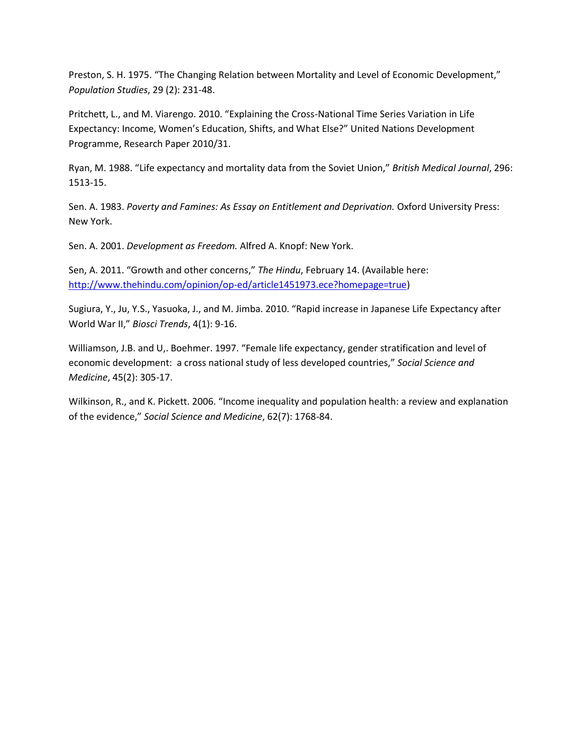Preston, S. H. 1975. "The Changing Relation between Mortality and Level of Economic Development," *Population Studies*, 29 (2): 231-48.

Pritchett, L., and M. Viarengo. 2010. "Explaining the Cross-National Time Series Variation in Life Expectancy: Income, Women's Education, Shifts, and What Else?" United Nations Development Programme, Research Paper 2010/31.

Ryan, M. 1988. "Life expectancy and mortality data from the Soviet Union," *British Medical Journal*, 296: 1513-15.

Sen. A. 1983. *Poverty and Famines: As Essay on Entitlement and Deprivation.* Oxford University Press: New York.

Sen. A. 2001. *Development as Freedom.* Alfred A. Knopf: New York.

Sen, A. 2011. "Growth and other concerns," *The Hindu*, February 14. (Available here: [http://www.thehindu.com/opinion/op-ed/article1451973.ece?homepage=true\)](http://www.thehindu.com/opinion/op-ed/article1451973.ece?homepage=true)

Sugiura, Y., Ju, Y.S., Yasuoka, J., and M. Jimba. 2010. "Rapid increase in Japanese Life Expectancy after World War II," *Biosci Trends*, 4(1): 9-16.

Williamson, J.B. and U,. Boehmer. 1997. "Female life expectancy, gender stratification and level of economic development: a cross national study of less developed countries," *Social Science and Medicine*, 45(2): 305-17.

Wilkinson, R., and K. Pickett. 2006. "Income inequality and population health: a review and explanation of the evidence," *Social Science and Medicine*, 62(7): 1768-84.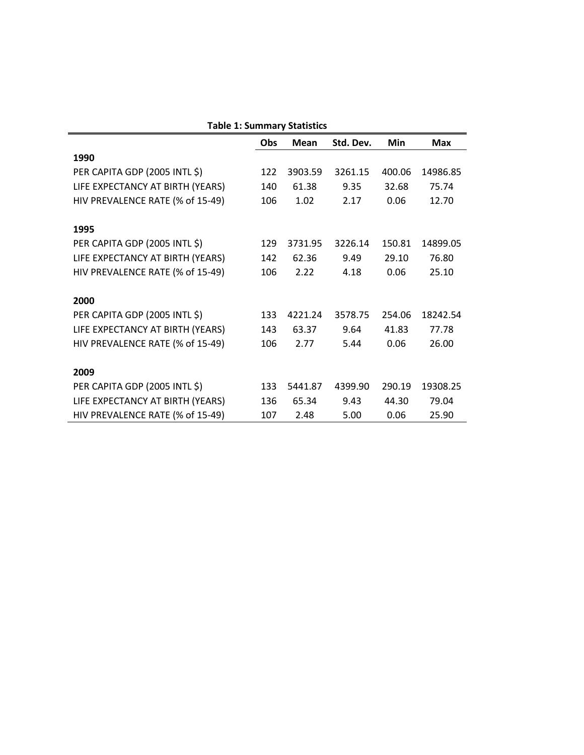|                                  | Obs | Mean    | Std. Dev. | <b>Min</b> | <b>Max</b> |
|----------------------------------|-----|---------|-----------|------------|------------|
| 1990                             |     |         |           |            |            |
| PER CAPITA GDP (2005 INTL \$)    | 122 | 3903.59 | 3261.15   | 400.06     | 14986.85   |
| LIFE EXPECTANCY AT BIRTH (YEARS) | 140 | 61.38   | 9.35      | 32.68      | 75.74      |
| HIV PREVALENCE RATE (% of 15-49) |     | 1.02    | 2.17      | 0.06       | 12.70      |
| 1995                             |     |         |           |            |            |
| PER CAPITA GDP (2005 INTL \$)    | 129 | 3731.95 | 3226.14   | 150.81     | 14899.05   |
| LIFE EXPECTANCY AT BIRTH (YEARS) | 142 | 62.36   | 9.49      | 29.10      | 76.80      |
| HIV PREVALENCE RATE (% of 15-49) | 106 | 2.22    | 4.18      | 0.06       | 25.10      |
| 2000                             |     |         |           |            |            |
| PER CAPITA GDP (2005 INTL \$)    | 133 | 4221.24 | 3578.75   | 254.06     | 18242.54   |
| LIFE EXPECTANCY AT BIRTH (YEARS) | 143 | 63.37   | 9.64      | 41.83      | 77.78      |
| HIV PREVALENCE RATE (% of 15-49) | 106 | 2.77    | 5.44      | 0.06       | 26.00      |
| 2009                             |     |         |           |            |            |
| PER CAPITA GDP (2005 INTL \$)    | 133 | 5441.87 | 4399.90   | 290.19     | 19308.25   |
| LIFE EXPECTANCY AT BIRTH (YEARS) | 136 | 65.34   | 9.43      | 44.30      | 79.04      |
| HIV PREVALENCE RATE (% of 15-49) | 107 | 2.48    | 5.00      | 0.06       | 25.90      |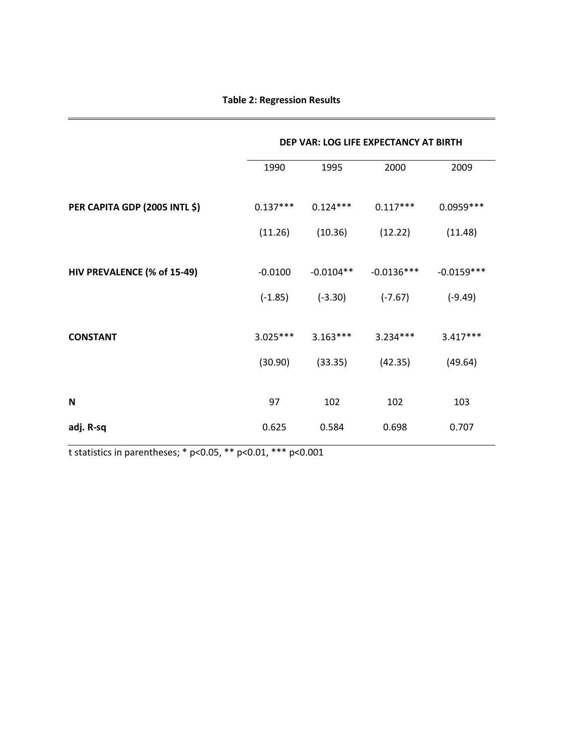|                               | DEP VAR: LOG LIFE EXPECTANCY AT BIRTH |             |              |              |  |
|-------------------------------|---------------------------------------|-------------|--------------|--------------|--|
|                               | 1990                                  | 1995        | 2000         | 2009         |  |
| PER CAPITA GDP (2005 INTL \$) | $0.137***$                            | $0.124***$  | $0.117***$   | $0.0959***$  |  |
|                               | (11.26)                               | (10.36)     | (12.22)      | (11.48)      |  |
|                               |                                       |             |              |              |  |
| HIV PREVALENCE (% of 15-49)   | $-0.0100$                             | $-0.0104**$ | $-0.0136***$ | $-0.0159***$ |  |
|                               | $(-1.85)$                             | $(-3.30)$   | $(-7.67)$    | $(-9.49)$    |  |
|                               |                                       |             |              |              |  |
| <b>CONSTANT</b>               | $3.025***$                            | $3.163***$  | $3.234***$   | $3.417***$   |  |
|                               | (30.90)                               | (33.35)     | (42.35)      | (49.64)      |  |
|                               |                                       |             |              |              |  |
| N                             | 97                                    | 102         | 102          | 103          |  |
| adj. R-sq                     | 0.625                                 | 0.584       | 0.698        | 0.707        |  |

t statistics in parentheses; \* p<0.05, \*\* p<0.01, \*\*\* p<0.001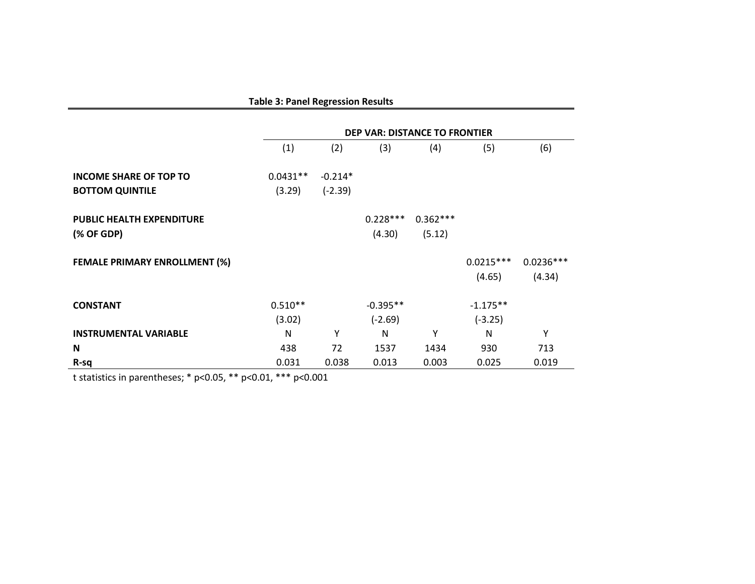| <b>Table 3: Panel Regression Results</b> |                                      |           |            |            |             |             |
|------------------------------------------|--------------------------------------|-----------|------------|------------|-------------|-------------|
|                                          | <b>DEP VAR: DISTANCE TO FRONTIER</b> |           |            |            |             |             |
|                                          | (1)                                  | (2)       | (3)        | (4)        | (5)         | (6)         |
| <b>INCOME SHARE OF TOP TO</b>            | $0.0431**$                           | $-0.214*$ |            |            |             |             |
| <b>BOTTOM QUINTILE</b>                   | (3.29)                               | $(-2.39)$ |            |            |             |             |
| <b>PUBLIC HEALTH EXPENDITURE</b>         |                                      |           | $0.228***$ | $0.362***$ |             |             |
| (% OF GDP)                               |                                      |           | (4.30)     | (5.12)     |             |             |
| <b>FEMALE PRIMARY ENROLLMENT (%)</b>     |                                      |           |            |            | $0.0215***$ | $0.0236***$ |
|                                          |                                      |           |            |            | (4.65)      | (4.34)      |
| <b>CONSTANT</b>                          | $0.510**$                            |           | $-0.395**$ |            | $-1.175**$  |             |
|                                          | (3.02)                               |           | $(-2.69)$  |            | $(-3.25)$   |             |
| <b>INSTRUMENTAL VARIABLE</b>             | N                                    | Y         | N          | Υ          | N           | Υ           |
| N                                        | 438                                  | 72        | 1537       | 1434       | 930         | 713         |
| R-sq                                     | 0.031                                | 0.038     | 0.013      | 0.003      | 0.025       | 0.019       |

t statistics in parentheses; \* p<0.05, \*\* p<0.01, \*\*\* p<0.001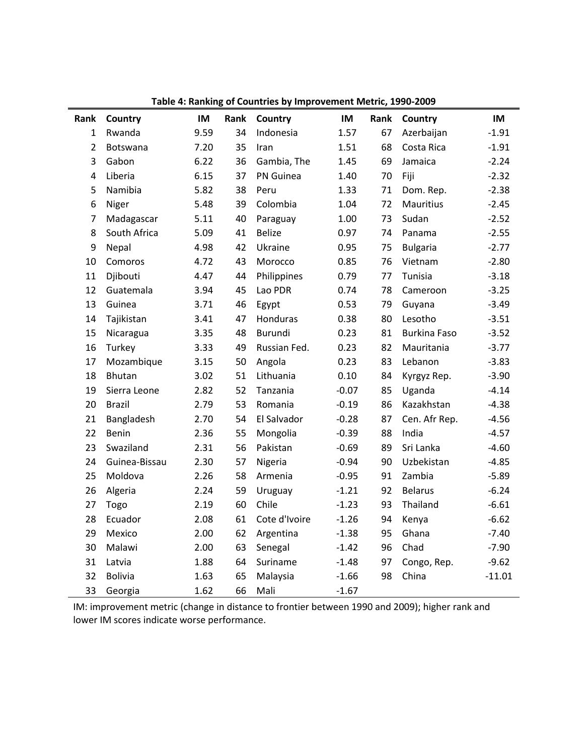| Rank           | Country        | IM   | Rank | rapic +, namning or countries by improvement metric, 1990 2009<br>Country | IM      | Rank | Country             | IM       |
|----------------|----------------|------|------|---------------------------------------------------------------------------|---------|------|---------------------|----------|
| $\mathbf{1}$   | Rwanda         | 9.59 | 34   | Indonesia                                                                 | 1.57    | 67   | Azerbaijan          | $-1.91$  |
| $\overline{2}$ | Botswana       | 7.20 | 35   | Iran                                                                      | 1.51    | 68   | Costa Rica          | $-1.91$  |
| 3              | Gabon          | 6.22 | 36   | Gambia, The                                                               | 1.45    | 69   | Jamaica             | $-2.24$  |
| 4              | Liberia        | 6.15 | 37   | PN Guinea                                                                 | 1.40    | 70   |                     | $-2.32$  |
|                |                |      |      |                                                                           |         |      | Fiji                |          |
| 5              | Namibia        | 5.82 | 38   | Peru                                                                      | 1.33    | 71   | Dom. Rep.           | $-2.38$  |
| 6              | Niger          | 5.48 | 39   | Colombia                                                                  | 1.04    | 72   | <b>Mauritius</b>    | $-2.45$  |
| $\overline{7}$ | Madagascar     | 5.11 | 40   | Paraguay                                                                  | 1.00    | 73   | Sudan               | $-2.52$  |
| 8              | South Africa   | 5.09 | 41   | <b>Belize</b>                                                             | 0.97    | 74   | Panama              | $-2.55$  |
| 9              | Nepal          | 4.98 | 42   | Ukraine                                                                   | 0.95    | 75   | <b>Bulgaria</b>     | $-2.77$  |
| 10             | Comoros        | 4.72 | 43   | Morocco                                                                   | 0.85    | 76   | Vietnam             | $-2.80$  |
| 11             | Djibouti       | 4.47 | 44   | Philippines                                                               | 0.79    | 77   | Tunisia             | $-3.18$  |
| 12             | Guatemala      | 3.94 | 45   | Lao PDR                                                                   | 0.74    | 78   | Cameroon            | $-3.25$  |
| 13             | Guinea         | 3.71 | 46   | Egypt                                                                     | 0.53    | 79   | Guyana              | $-3.49$  |
| 14             | Tajikistan     | 3.41 | 47   | Honduras                                                                  | 0.38    | 80   | Lesotho             | $-3.51$  |
| 15             | Nicaragua      | 3.35 | 48   | Burundi                                                                   | 0.23    | 81   | <b>Burkina Faso</b> | $-3.52$  |
| 16             | Turkey         | 3.33 | 49   | Russian Fed.                                                              | 0.23    | 82   | Mauritania          | $-3.77$  |
| 17             | Mozambique     | 3.15 | 50   | Angola                                                                    | 0.23    | 83   | Lebanon             | $-3.83$  |
| 18             | <b>Bhutan</b>  | 3.02 | 51   | Lithuania                                                                 | 0.10    | 84   | Kyrgyz Rep.         | $-3.90$  |
| 19             | Sierra Leone   | 2.82 | 52   | Tanzania                                                                  | $-0.07$ | 85   | Uganda              | $-4.14$  |
| 20             | <b>Brazil</b>  | 2.79 | 53   | Romania                                                                   | $-0.19$ | 86   | Kazakhstan          | $-4.38$  |
| 21             | Bangladesh     | 2.70 | 54   | El Salvador                                                               | $-0.28$ | 87   | Cen. Afr Rep.       | $-4.56$  |
| 22             | Benin          | 2.36 | 55   | Mongolia                                                                  | $-0.39$ | 88   | India               | $-4.57$  |
| 23             | Swaziland      | 2.31 | 56   | Pakistan                                                                  | $-0.69$ | 89   | Sri Lanka           | $-4.60$  |
| 24             | Guinea-Bissau  | 2.30 | 57   | Nigeria                                                                   | $-0.94$ | 90   | Uzbekistan          | $-4.85$  |
| 25             | Moldova        | 2.26 | 58   | Armenia                                                                   | $-0.95$ | 91   | Zambia              | $-5.89$  |
| 26             | Algeria        | 2.24 | 59   | Uruguay                                                                   | $-1.21$ | 92   | <b>Belarus</b>      | $-6.24$  |
| 27             | Togo           | 2.19 | 60   | Chile                                                                     | $-1.23$ | 93   | Thailand            | $-6.61$  |
| 28             | Ecuador        | 2.08 | 61   | Cote d'Ivoire                                                             | $-1.26$ | 94   | Kenya               | $-6.62$  |
| 29             | Mexico         | 2.00 | 62   | Argentina                                                                 | $-1.38$ | 95   | Ghana               | $-7.40$  |
| 30             | Malawi         | 2.00 | 63   | Senegal                                                                   | $-1.42$ | 96   | Chad                | $-7.90$  |
| 31             | Latvia         | 1.88 | 64   | Suriname                                                                  | $-1.48$ | 97   | Congo, Rep.         | $-9.62$  |
| 32             | <b>Bolivia</b> | 1.63 | 65   | Malaysia                                                                  | $-1.66$ | 98   | China               | $-11.01$ |
| 33             | Georgia        | 1.62 | 66   | Mali                                                                      | $-1.67$ |      |                     |          |

**Table 4: Ranking of Countries by Improvement Metric, 1990-2009**

IM: improvement metric (change in distance to frontier between 1990 and 2009); higher rank and lower IM scores indicate worse performance.